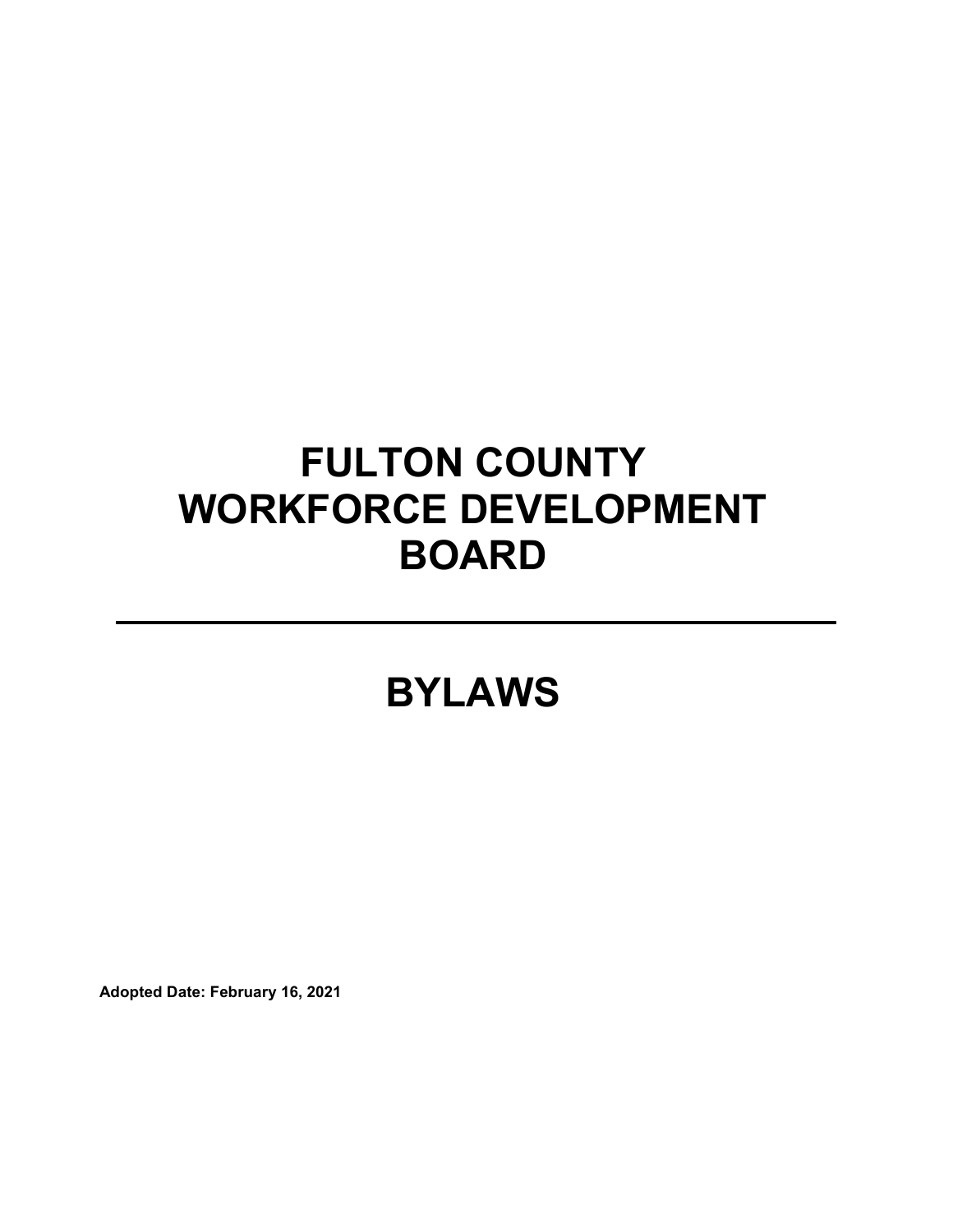# **FULTON COUNTY WORKFORCE DEVELOPMENT BOARD**

## **BYLAWS**

**Adopted Date: February 16, 2021**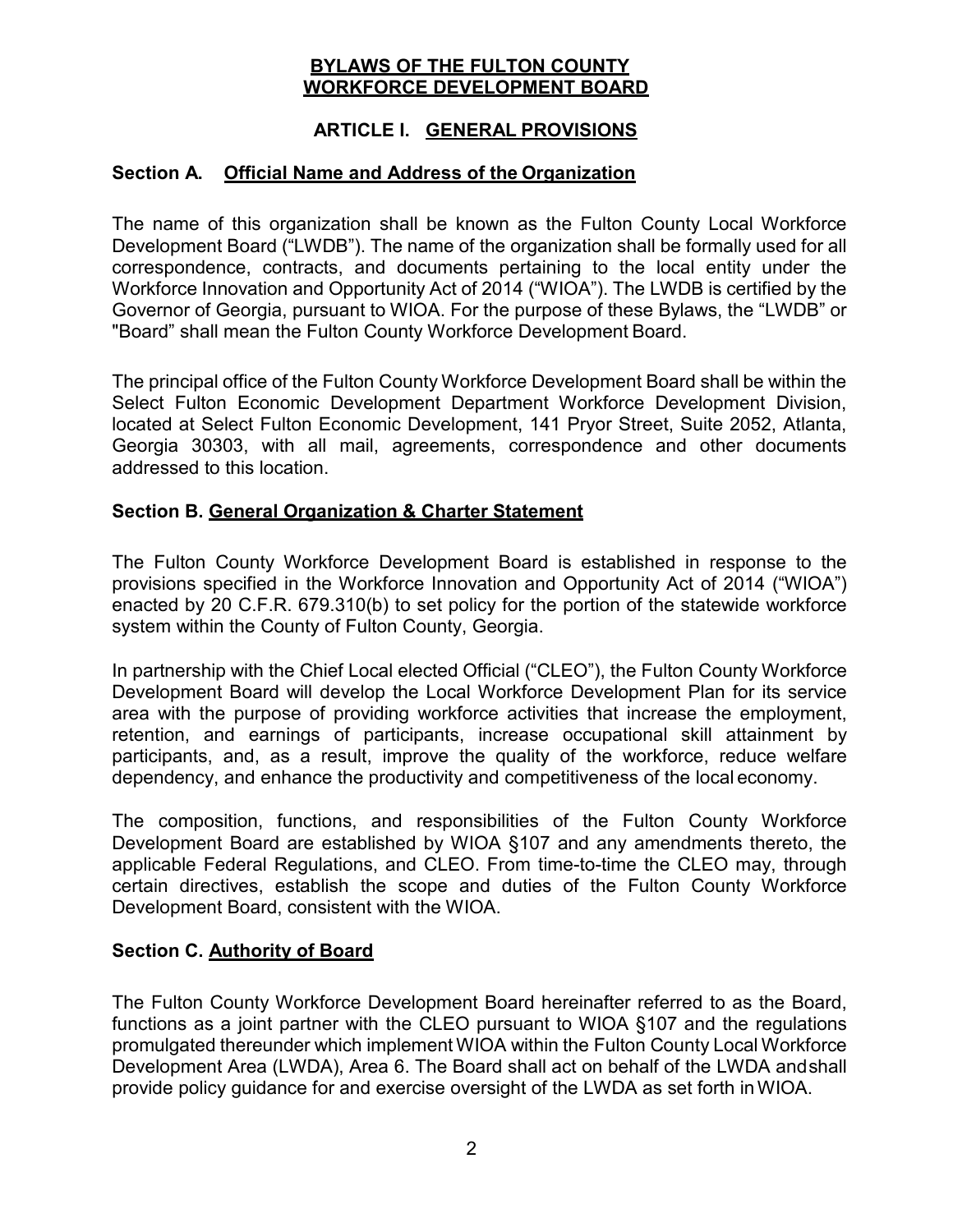#### **BYLAWS OF THE FULTON COUNTY WORKFORCE DEVELOPMENT BOARD**

#### **ARTICLE I. GENERAL PROVISIONS**

#### **Section A. Official Name and Address of the Organization**

The name of this organization shall be known as the Fulton County Local Workforce Development Board ("LWDB"). The name of the organization shall be formally used for all correspondence, contracts, and documents pertaining to the local entity under the Workforce Innovation and Opportunity Act of 2014 ("WIOA"). The LWDB is certified by the Governor of Georgia, pursuant to WIOA. For the purpose of these Bylaws, the "LWDB" or "Board" shall mean the Fulton County Workforce Development Board.

The principal office of the Fulton County Workforce Development Board shall be within the Select Fulton Economic Development Department Workforce Development Division, located at Select Fulton Economic Development, 141 Pryor Street, Suite 2052, Atlanta, Georgia 30303, with all mail, agreements, correspondence and other documents addressed to this location.

#### **Section B. General Organization & Charter Statement**

The Fulton County Workforce Development Board is established in response to the provisions specified in the Workforce Innovation and Opportunity Act of 2014 ("WIOA") enacted by 20 C.F.R. 679.310(b) to set policy for the portion of the statewide workforce system within the County of Fulton County, Georgia.

In partnership with the Chief Local elected Official ("CLEO"), the Fulton County Workforce Development Board will develop the Local Workforce Development Plan for its service area with the purpose of providing workforce activities that increase the employment, retention, and earnings of participants, increase occupational skill attainment by participants, and, as a result, improve the quality of the workforce, reduce welfare dependency, and enhance the productivity and competitiveness of the local economy.

The composition, functions, and responsibilities of the Fulton County Workforce Development Board are established by WIOA §107 and any amendments thereto, the applicable Federal Regulations, and CLEO. From time-to-time the CLEO may, through certain directives, establish the scope and duties of the Fulton County Workforce Development Board, consistent with the WIOA.

#### **Section C. Authority of Board**

The Fulton County Workforce Development Board hereinafter referred to as the Board, functions as a joint partner with the CLEO pursuant to WIOA §107 and the regulations promulgated thereunder which implement WIOA within the Fulton County Local Workforce Development Area (LWDA), Area 6. The Board shall act on behalf of the LWDA andshall provide policy guidance for and exercise oversight of the LWDA as set forth inWIOA.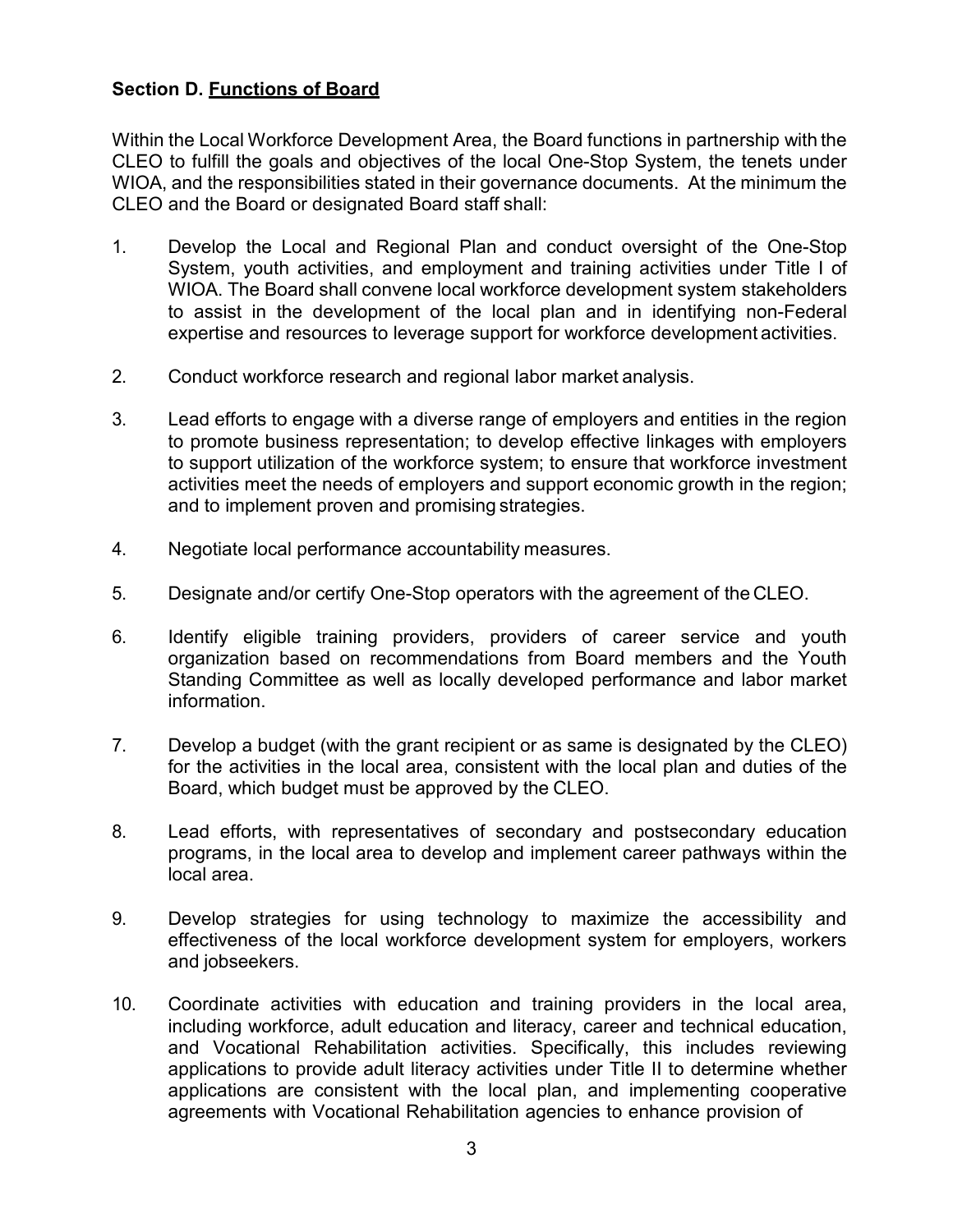#### **Section D. Functions of Board**

Within the Local Workforce Development Area, the Board functions in partnership with the CLEO to fulfill the goals and objectives of the local One-Stop System, the tenets under WIOA, and the responsibilities stated in their governance documents. At the minimum the CLEO and the Board or designated Board staff shall:

- 1. Develop the Local and Regional Plan and conduct oversight of the One-Stop System, youth activities, and employment and training activities under Title I of WIOA. The Board shall convene local workforce development system stakeholders to assist in the development of the local plan and in identifying non-Federal expertise and resources to leverage support for workforce development activities.
- 2. Conduct workforce research and regional labor market analysis.
- 3. Lead efforts to engage with a diverse range of employers and entities in the region to promote business representation; to develop effective linkages with employers to support utilization of the workforce system; to ensure that workforce investment activities meet the needs of employers and support economic growth in the region; and to implement proven and promising strategies.
- 4. Negotiate local performance accountability measures.
- 5. Designate and/or certify One-Stop operators with the agreement of the CLEO.
- 6. Identify eligible training providers, providers of career service and youth organization based on recommendations from Board members and the Youth Standing Committee as well as locally developed performance and labor market information.
- 7. Develop a budget (with the grant recipient or as same is designated by the CLEO) for the activities in the local area, consistent with the local plan and duties of the Board, which budget must be approved by the CLEO.
- 8. Lead efforts, with representatives of secondary and postsecondary education programs, in the local area to develop and implement career pathways within the local area.
- 9. Develop strategies for using technology to maximize the accessibility and effectiveness of the local workforce development system for employers, workers and jobseekers.
- 10. Coordinate activities with education and training providers in the local area, including workforce, adult education and literacy, career and technical education, and Vocational Rehabilitation activities. Specifically, this includes reviewing applications to provide adult literacy activities under Title II to determine whether applications are consistent with the local plan, and implementing cooperative agreements with Vocational Rehabilitation agencies to enhance provision of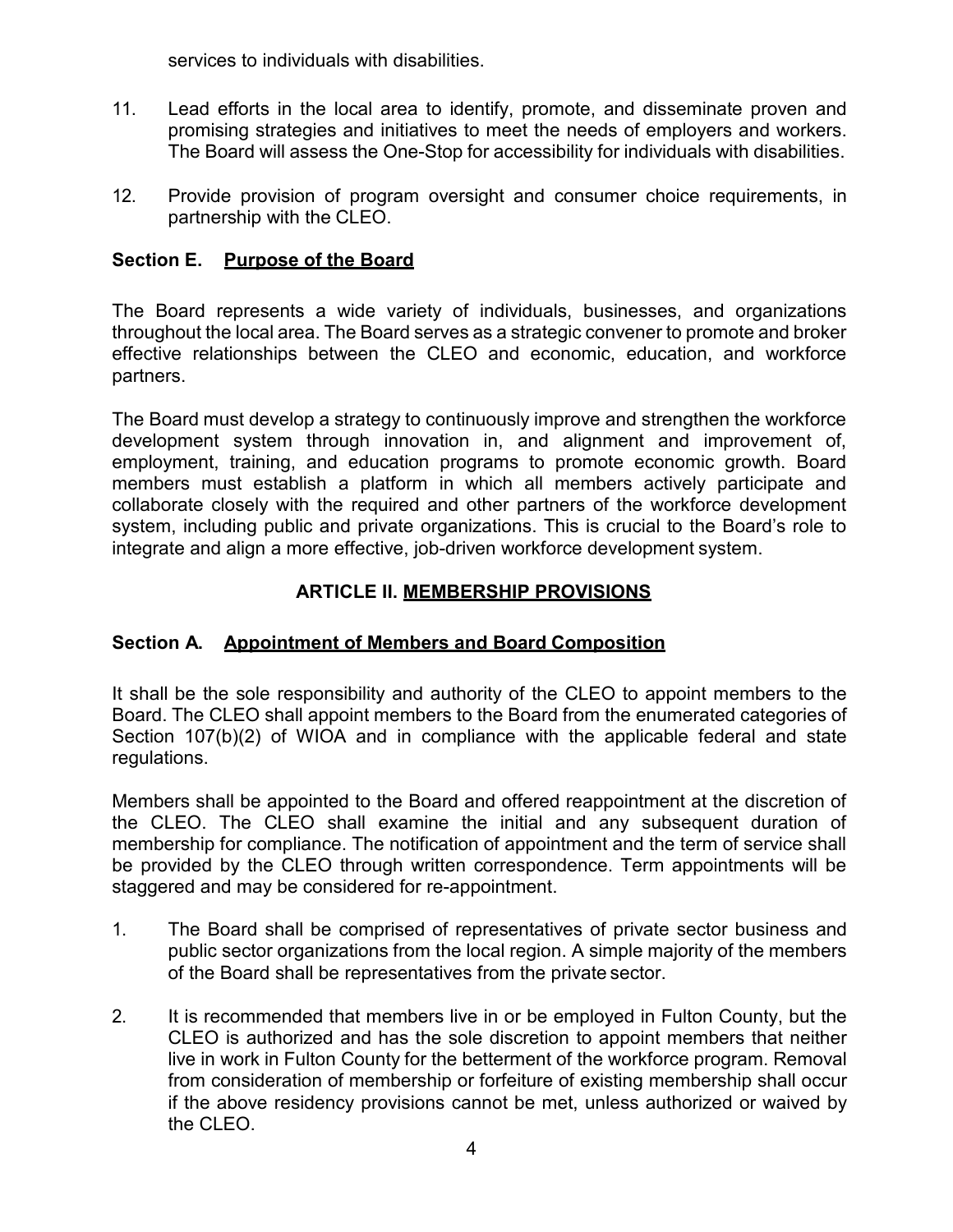services to individuals with disabilities.

- 11. Lead efforts in the local area to identify, promote, and disseminate proven and promising strategies and initiatives to meet the needs of employers and workers. The Board will assess the One-Stop for accessibility for individuals with disabilities.
- 12. Provide provision of program oversight and consumer choice requirements, in partnership with the CLEO.

## **Section E. Purpose of the Board**

The Board represents a wide variety of individuals, businesses, and organizations throughout the local area. The Board serves as a strategic convener to promote and broker effective relationships between the CLEO and economic, education, and workforce partners.

The Board must develop a strategy to continuously improve and strengthen the workforce development system through innovation in, and alignment and improvement of, employment, training, and education programs to promote economic growth. Board members must establish a platform in which all members actively participate and collaborate closely with the required and other partners of the workforce development system, including public and private organizations. This is crucial to the Board's role to integrate and align a more effective, job-driven workforce development system.

#### **ARTICLE II. MEMBERSHIP PROVISIONS**

#### **Section A. Appointment of Members and Board Composition**

It shall be the sole responsibility and authority of the CLEO to appoint members to the Board. The CLEO shall appoint members to the Board from the enumerated categories of Section 107(b)(2) of WIOA and in compliance with the applicable federal and state regulations.

Members shall be appointed to the Board and offered reappointment at the discretion of the CLEO. The CLEO shall examine the initial and any subsequent duration of membership for compliance. The notification of appointment and the term of service shall be provided by the CLEO through written correspondence. Term appointments will be staggered and may be considered for re-appointment.

- 1. The Board shall be comprised of representatives of private sector business and public sector organizations from the local region. A simple majority of the members of the Board shall be representatives from the private sector.
- 2. It is recommended that members live in or be employed in Fulton County, but the CLEO is authorized and has the sole discretion to appoint members that neither live in work in Fulton County for the betterment of the workforce program. Removal from consideration of membership or forfeiture of existing membership shall occur if the above residency provisions cannot be met, unless authorized or waived by the CLEO.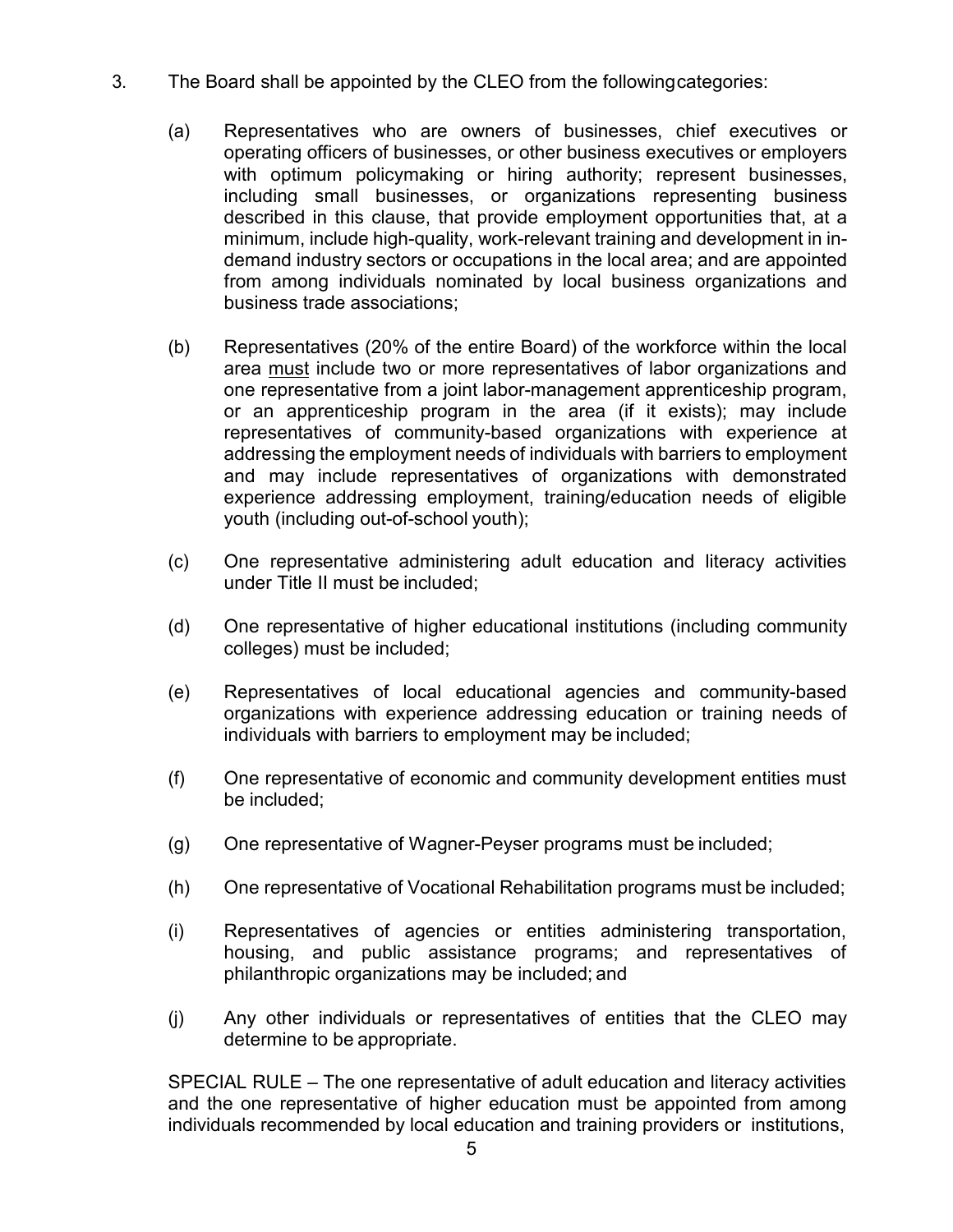- 3. The Board shall be appointed by the CLEO from the followingcategories:
	- (a) Representatives who are owners of businesses, chief executives or operating officers of businesses, or other business executives or employers with optimum policymaking or hiring authority; represent businesses, including small businesses, or organizations representing business described in this clause, that provide employment opportunities that, at a minimum, include high-quality, work-relevant training and development in indemand industry sectors or occupations in the local area; and are appointed from among individuals nominated by local business organizations and business trade associations;
	- (b) Representatives (20% of the entire Board) of the workforce within the local area must include two or more representatives of labor organizations and one representative from a joint labor-management apprenticeship program, or an apprenticeship program in the area (if it exists); may include representatives of community-based organizations with experience at addressing the employment needs of individuals with barriers to employment and may include representatives of organizations with demonstrated experience addressing employment, training/education needs of eligible youth (including out-of-school youth);
	- (c) One representative administering adult education and literacy activities under Title II must be included;
	- (d) One representative of higher educational institutions (including community colleges) must be included;
	- (e) Representatives of local educational agencies and community-based organizations with experience addressing education or training needs of individuals with barriers to employment may be included;
	- (f) One representative of economic and community development entities must be included;
	- (g) One representative of Wagner-Peyser programs must be included;
	- (h) One representative of Vocational Rehabilitation programs must be included;
	- (i) Representatives of agencies or entities administering transportation, housing, and public assistance programs; and representatives of philanthropic organizations may be included; and
	- (j) Any other individuals or representatives of entities that the CLEO may determine to be appropriate.

SPECIAL RULE – The one representative of adult education and literacy activities and the one representative of higher education must be appointed from among individuals recommended by local education and training providers or institutions,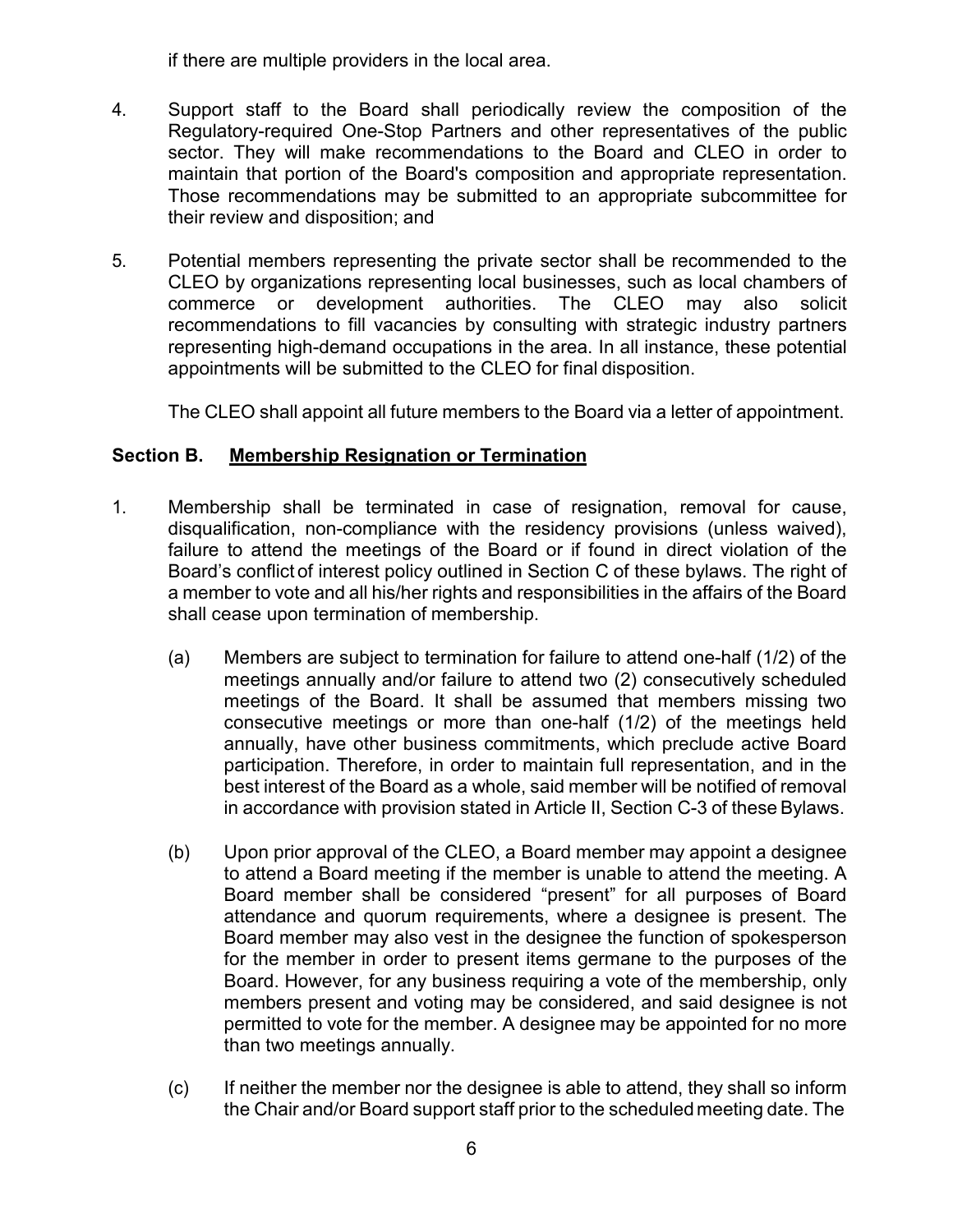if there are multiple providers in the local area.

- 4. Support staff to the Board shall periodically review the composition of the Regulatory-required One-Stop Partners and other representatives of the public sector. They will make recommendations to the Board and CLEO in order to maintain that portion of the Board's composition and appropriate representation. Those recommendations may be submitted to an appropriate subcommittee for their review and disposition; and
- 5. Potential members representing the private sector shall be recommended to the CLEO by organizations representing local businesses, such as local chambers of commerce or development authorities. The CLEO may also solicit recommendations to fill vacancies by consulting with strategic industry partners representing high-demand occupations in the area. In all instance, these potential appointments will be submitted to the CLEO for final disposition.

The CLEO shall appoint all future members to the Board via a letter of appointment.

## **Section B. Membership Resignation or Termination**

- 1. Membership shall be terminated in case of resignation, removal for cause, disqualification, non-compliance with the residency provisions (unless waived), failure to attend the meetings of the Board or if found in direct violation of the Board's conflict of interest policy outlined in Section C of these bylaws. The right of a member to vote and all his/her rights and responsibilities in the affairs of the Board shall cease upon termination of membership.
	- (a) Members are subject to termination for failure to attend one-half (1/2) of the meetings annually and/or failure to attend two (2) consecutively scheduled meetings of the Board. It shall be assumed that members missing two consecutive meetings or more than one-half (1/2) of the meetings held annually, have other business commitments, which preclude active Board participation. Therefore, in order to maintain full representation, and in the best interest of the Board as a whole, said member will be notified of removal in accordance with provision stated in Article II, Section C-3 of these Bylaws.
	- (b) Upon prior approval of the CLEO, a Board member may appoint a designee to attend a Board meeting if the member is unable to attend the meeting. A Board member shall be considered "present" for all purposes of Board attendance and quorum requirements, where a designee is present. The Board member may also vest in the designee the function of spokesperson for the member in order to present items germane to the purposes of the Board. However, for any business requiring a vote of the membership, only members present and voting may be considered, and said designee is not permitted to vote for the member. A designee may be appointed for no more than two meetings annually.
	- (c) If neither the member nor the designee is able to attend, they shall so inform the Chair and/or Board support staff prior to the scheduled meeting date. The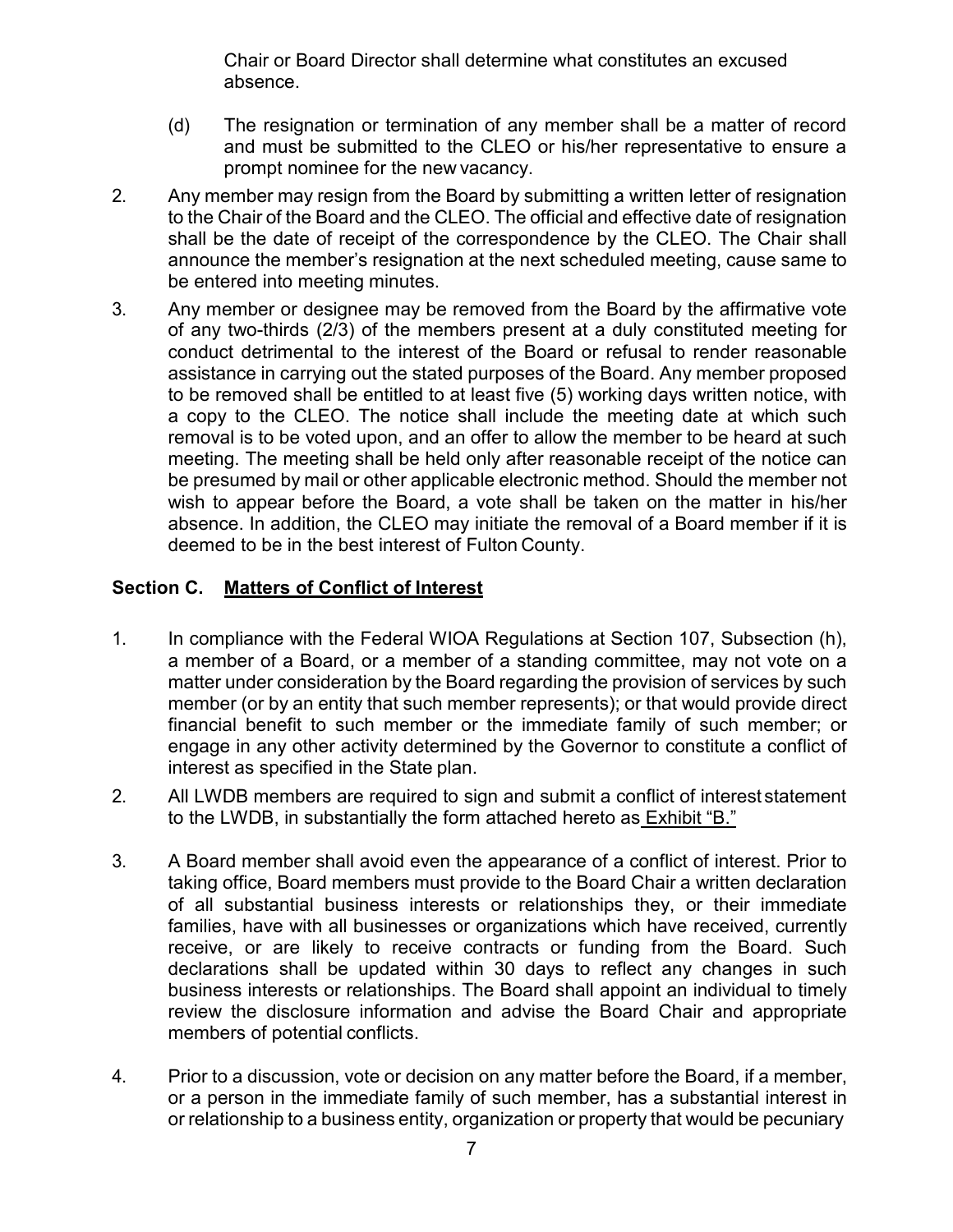Chair or Board Director shall determine what constitutes an excused absence.

- (d) The resignation or termination of any member shall be a matter of record and must be submitted to the CLEO or his/her representative to ensure a prompt nominee for the new vacancy.
- 2. Any member may resign from the Board by submitting a written letter of resignation to the Chair of the Board and the CLEO. The official and effective date of resignation shall be the date of receipt of the correspondence by the CLEO. The Chair shall announce the member's resignation at the next scheduled meeting, cause same to be entered into meeting minutes.
- 3. Any member or designee may be removed from the Board by the affirmative vote of any two-thirds (2/3) of the members present at a duly constituted meeting for conduct detrimental to the interest of the Board or refusal to render reasonable assistance in carrying out the stated purposes of the Board. Any member proposed to be removed shall be entitled to at least five (5) working days written notice, with a copy to the CLEO. The notice shall include the meeting date at which such removal is to be voted upon, and an offer to allow the member to be heard at such meeting. The meeting shall be held only after reasonable receipt of the notice can be presumed by mail or other applicable electronic method. Should the member not wish to appear before the Board, a vote shall be taken on the matter in his/her absence. In addition, the CLEO may initiate the removal of a Board member if it is deemed to be in the best interest of Fulton County.

## **Section C. Matters of Conflict of Interest**

- 1. In compliance with the Federal WIOA Regulations at Section 107, Subsection (h), a member of a Board, or a member of a standing committee, may not vote on a matter under consideration by the Board regarding the provision of services by such member (or by an entity that such member represents); or that would provide direct financial benefit to such member or the immediate family of such member; or engage in any other activity determined by the Governor to constitute a conflict of interest as specified in the State plan.
- 2. All LWDB members are required to sign and submit a conflict of interest statement to the LWDB, in substantially the form attached hereto as Exhibit "B."
- 3. A Board member shall avoid even the appearance of a conflict of interest. Prior to taking office, Board members must provide to the Board Chair a written declaration of all substantial business interests or relationships they, or their immediate families, have with all businesses or organizations which have received, currently receive, or are likely to receive contracts or funding from the Board. Such declarations shall be updated within 30 days to reflect any changes in such business interests or relationships. The Board shall appoint an individual to timely review the disclosure information and advise the Board Chair and appropriate members of potential conflicts.
- 4. Prior to a discussion, vote or decision on any matter before the Board, if a member, or a person in the immediate family of such member, has a substantial interest in or relationship to a business entity, organization or property that would be pecuniary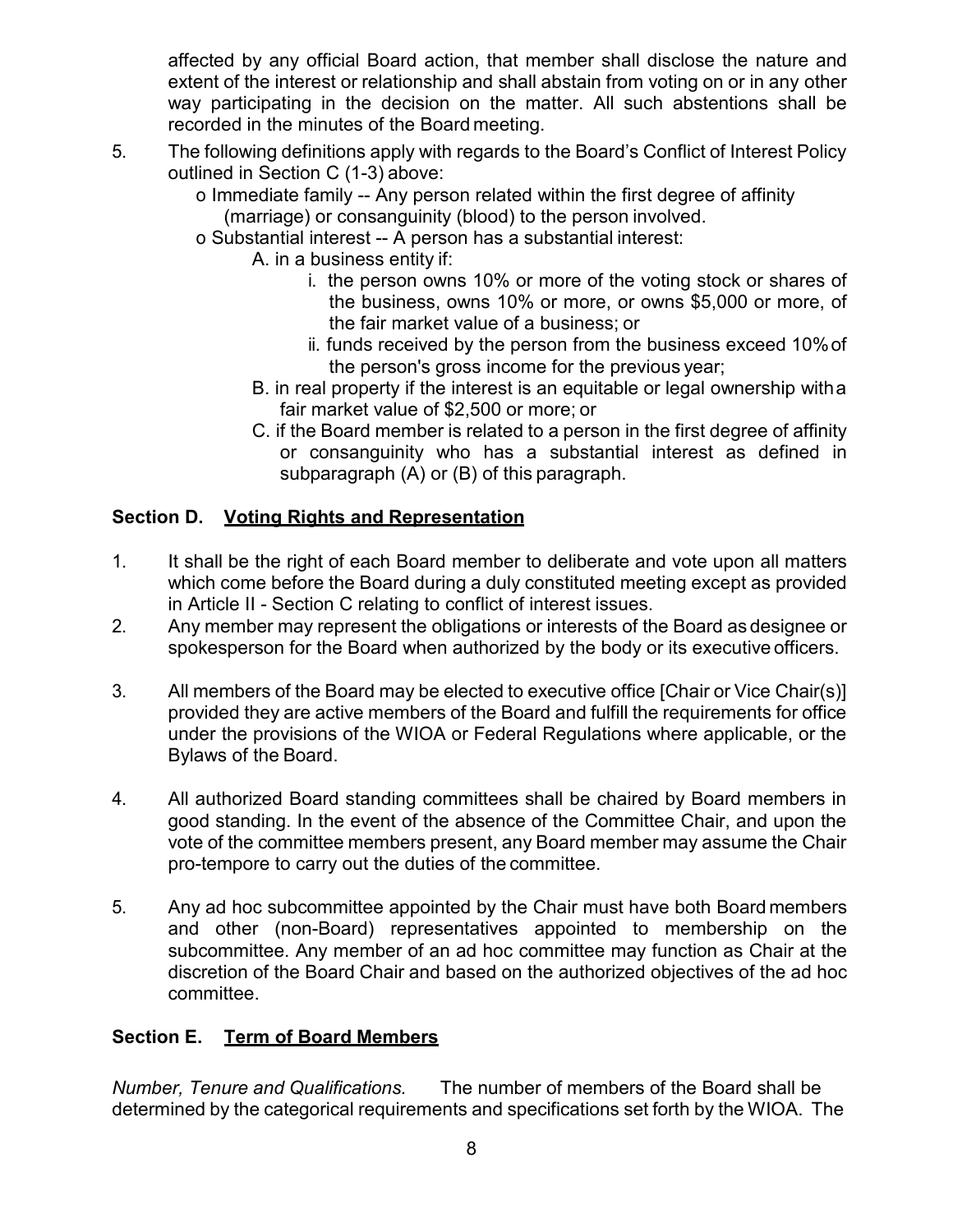affected by any official Board action, that member shall disclose the nature and extent of the interest or relationship and shall abstain from voting on or in any other way participating in the decision on the matter. All such abstentions shall be recorded in the minutes of the Board meeting.

- 5. The following definitions apply with regards to the Board's Conflict of Interest Policy outlined in Section C (1-3) above:
	- o Immediate family -- Any person related within the first degree of affinity (marriage) or consanguinity (blood) to the person involved.
	- o Substantial interest -- A person has a substantial interest:
		- A. in a business entity if:
			- i. the person owns 10% or more of the voting stock or shares of the business, owns 10% or more, or owns \$5,000 or more, of the fair market value of a business; or
			- ii. funds received by the person from the business exceed 10%of the person's gross income for the previous year;
		- B. in real property if the interest is an equitable or legal ownership witha fair market value of \$2,500 or more; or
		- C. if the Board member is related to a person in the first degree of affinity or consanguinity who has a substantial interest as defined in subparagraph (A) or (B) of this paragraph.

## **Section D. Voting Rights and Representation**

- 1. It shall be the right of each Board member to deliberate and vote upon all matters which come before the Board during a duly constituted meeting except as provided in Article II - Section C relating to conflict of interest issues.
- 2. Any member may represent the obligations or interests of the Board as designee or spokesperson for the Board when authorized by the body or its executive officers.
- 3. All members of the Board may be elected to executive office [Chair or Vice Chair(s)] provided they are active members of the Board and fulfill the requirements for office under the provisions of the WIOA or Federal Regulations where applicable, or the Bylaws of the Board.
- 4. All authorized Board standing committees shall be chaired by Board members in good standing. In the event of the absence of the Committee Chair, and upon the vote of the committee members present, any Board member may assume the Chair pro-tempore to carry out the duties of the committee.
- 5. Any ad hoc subcommittee appointed by the Chair must have both Board members and other (non-Board) representatives appointed to membership on the subcommittee. Any member of an ad hoc committee may function as Chair at the discretion of the Board Chair and based on the authorized objectives of the ad hoc committee.

#### **Section E. Term of Board Members**

*Number, Tenure and Qualifications.* The number of members of the Board shall be determined by the categorical requirements and specifications set forth by the WIOA. The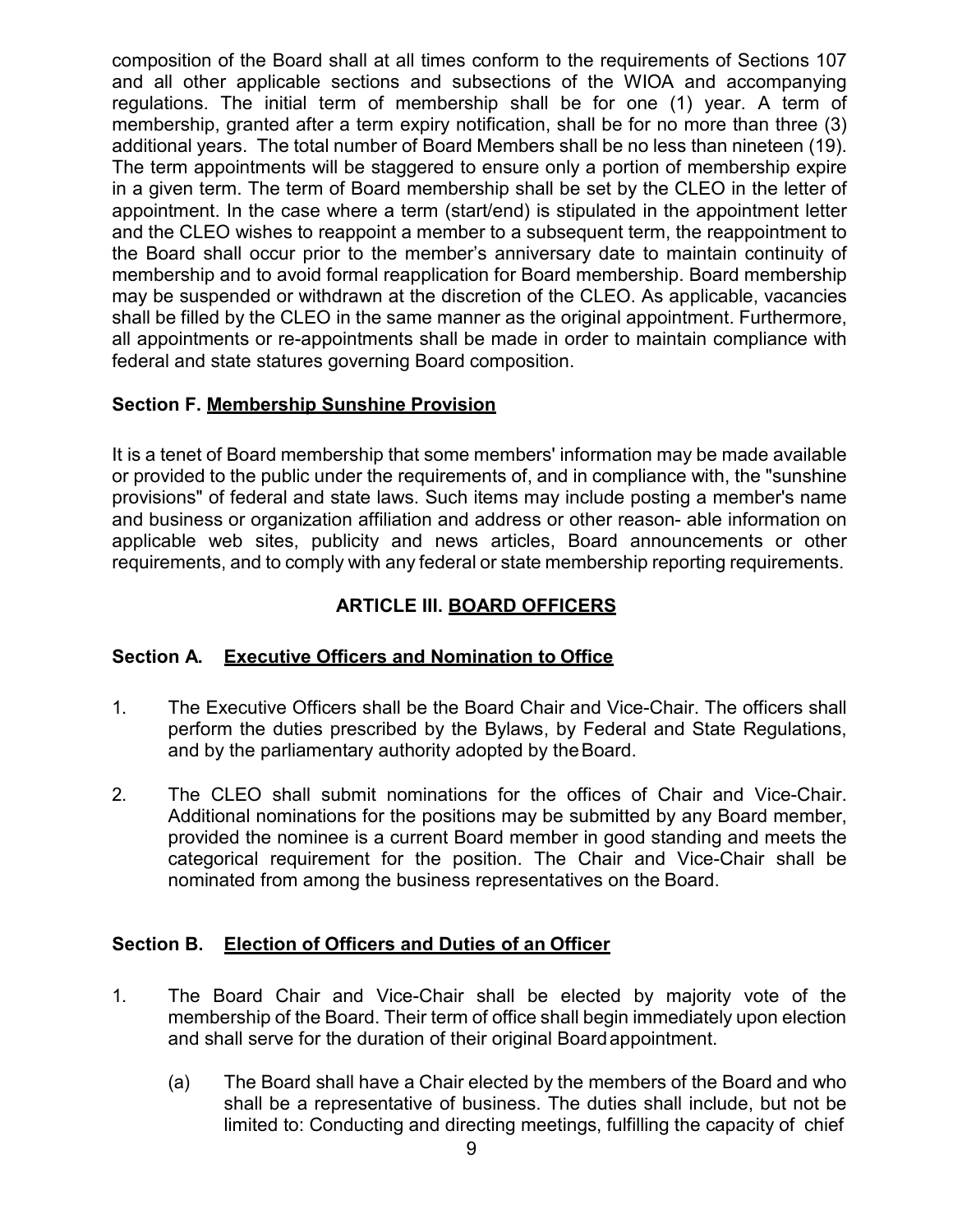composition of the Board shall at all times conform to the requirements of Sections 107 and all other applicable sections and subsections of the WIOA and accompanying regulations. The initial term of membership shall be for one (1) year. A term of membership, granted after a term expiry notification, shall be for no more than three (3) additional years. The total number of Board Members shall be no less than nineteen (19). The term appointments will be staggered to ensure only a portion of membership expire in a given term. The term of Board membership shall be set by the CLEO in the letter of appointment. In the case where a term (start/end) is stipulated in the appointment letter and the CLEO wishes to reappoint a member to a subsequent term, the reappointment to the Board shall occur prior to the member's anniversary date to maintain continuity of membership and to avoid formal reapplication for Board membership. Board membership may be suspended or withdrawn at the discretion of the CLEO. As applicable, vacancies shall be filled by the CLEO in the same manner as the original appointment. Furthermore, all appointments or re-appointments shall be made in order to maintain compliance with federal and state statures governing Board composition.

## **Section F. Membership Sunshine Provision**

It is a tenet of Board membership that some members' information may be made available or provided to the public under the requirements of, and in compliance with, the "sunshine provisions" of federal and state laws. Such items may include posting a member's name and business or organization affiliation and address or other reason- able information on applicable web sites, publicity and news articles, Board announcements or other requirements, and to comply with any federal or state membership reporting requirements.

## **ARTICLE III. BOARD OFFICERS**

#### **Section A. Executive Officers and Nomination to Office**

- 1. The Executive Officers shall be the Board Chair and Vice-Chair. The officers shall perform the duties prescribed by the Bylaws, by Federal and State Regulations, and by the parliamentary authority adopted by theBoard.
- 2. The CLEO shall submit nominations for the offices of Chair and Vice-Chair. Additional nominations for the positions may be submitted by any Board member, provided the nominee is a current Board member in good standing and meets the categorical requirement for the position. The Chair and Vice-Chair shall be nominated from among the business representatives on the Board.

## **Section B. Election of Officers and Duties of an Officer**

- 1. The Board Chair and Vice-Chair shall be elected by majority vote of the membership of the Board. Their term of office shall begin immediately upon election and shall serve for the duration of their original Boardappointment.
	- (a) The Board shall have a Chair elected by the members of the Board and who shall be a representative of business. The duties shall include, but not be limited to: Conducting and directing meetings, fulfilling the capacity of chief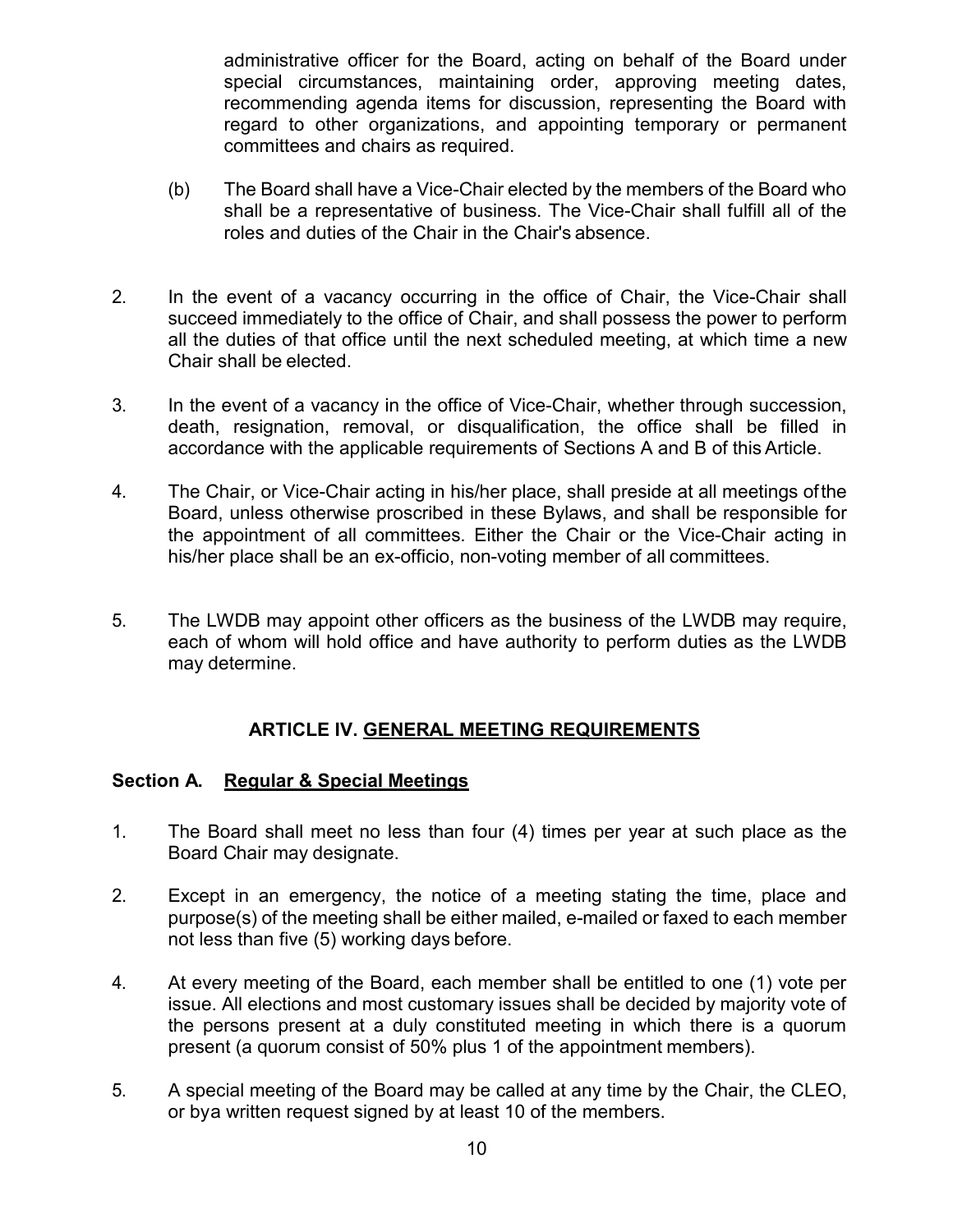administrative officer for the Board, acting on behalf of the Board under special circumstances, maintaining order, approving meeting dates, recommending agenda items for discussion, representing the Board with regard to other organizations, and appointing temporary or permanent committees and chairs as required.

- (b) The Board shall have a Vice-Chair elected by the members of the Board who shall be a representative of business. The Vice-Chair shall fulfill all of the roles and duties of the Chair in the Chair's absence.
- 2. In the event of a vacancy occurring in the office of Chair, the Vice-Chair shall succeed immediately to the office of Chair, and shall possess the power to perform all the duties of that office until the next scheduled meeting, at which time a new Chair shall be elected.
- 3. In the event of a vacancy in the office of Vice-Chair, whether through succession, death, resignation, removal, or disqualification, the office shall be filled in accordance with the applicable requirements of Sections A and B of this Article.
- 4. The Chair, or Vice-Chair acting in his/her place, shall preside at all meetings ofthe Board, unless otherwise proscribed in these Bylaws, and shall be responsible for the appointment of all committees. Either the Chair or the Vice-Chair acting in his/her place shall be an ex-officio, non-voting member of all committees.
- 5. The LWDB may appoint other officers as the business of the LWDB may require, each of whom will hold office and have authority to perform duties as the LWDB may determine.

#### **ARTICLE IV. GENERAL MEETING REQUIREMENTS**

#### **Section A. Regular & Special Meetings**

- 1. The Board shall meet no less than four (4) times per year at such place as the Board Chair may designate.
- 2. Except in an emergency, the notice of a meeting stating the time, place and purpose(s) of the meeting shall be either mailed, e-mailed or faxed to each member not less than five (5) working days before.
- 4. At every meeting of the Board, each member shall be entitled to one (1) vote per issue. All elections and most customary issues shall be decided by majority vote of the persons present at a duly constituted meeting in which there is a quorum present (a quorum consist of 50% plus 1 of the appointment members).
- 5. A special meeting of the Board may be called at any time by the Chair, the CLEO, or bya written request signed by at least 10 of the members.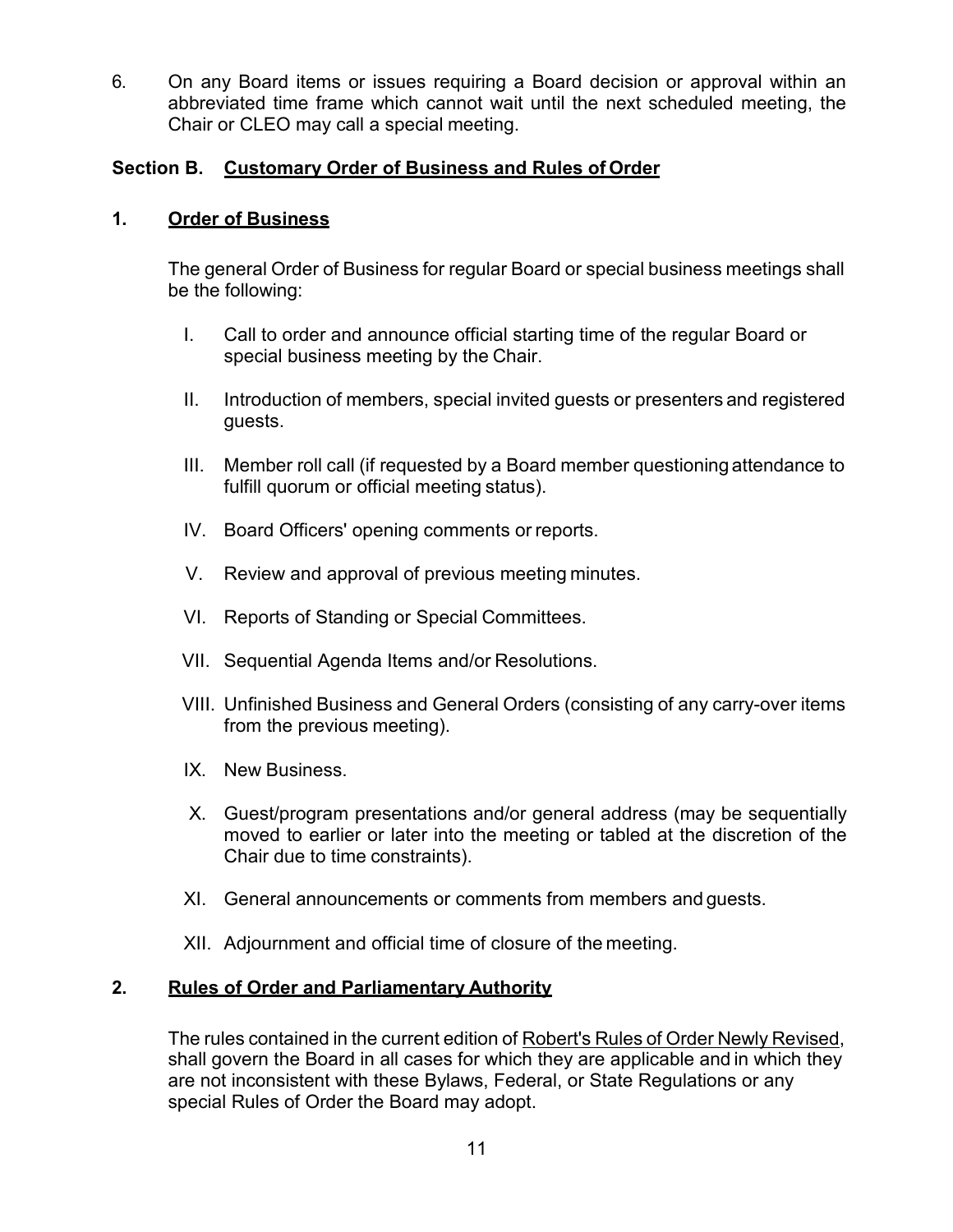6. On any Board items or issues requiring a Board decision or approval within an abbreviated time frame which cannot wait until the next scheduled meeting, the Chair or CLEO may call a special meeting.

#### **Section B. Customary Order of Business and Rules of Order**

#### **1. Order of Business**

The general Order of Business for regular Board or special business meetings shall be the following:

- I. Call to order and announce official starting time of the regular Board or special business meeting by the Chair.
- II. Introduction of members, special invited guests or presenters and registered guests.
- III. Member roll call (if requested by a Board member questioning attendance to fulfill quorum or official meeting status).
- IV. Board Officers' opening comments or reports.
- V. Review and approval of previous meeting minutes.
- VI. Reports of Standing or Special Committees.
- VII. Sequential Agenda Items and/or Resolutions.
- VIII. Unfinished Business and General Orders (consisting of any carry-over items from the previous meeting).
- IX. New Business.
- X. Guest/program presentations and/or general address (may be sequentially moved to earlier or later into the meeting or tabled at the discretion of the Chair due to time constraints).
- XI. General announcements or comments from members and guests.
- XII. Adjournment and official time of closure of the meeting.

#### **2. Rules of Order and Parliamentary Authority**

The rules contained in the current edition of Robert's Rules of Order Newly Revised, shall govern the Board in all cases for which they are applicable and in which they are not inconsistent with these Bylaws, Federal, or State Regulations or any special Rules of Order the Board may adopt.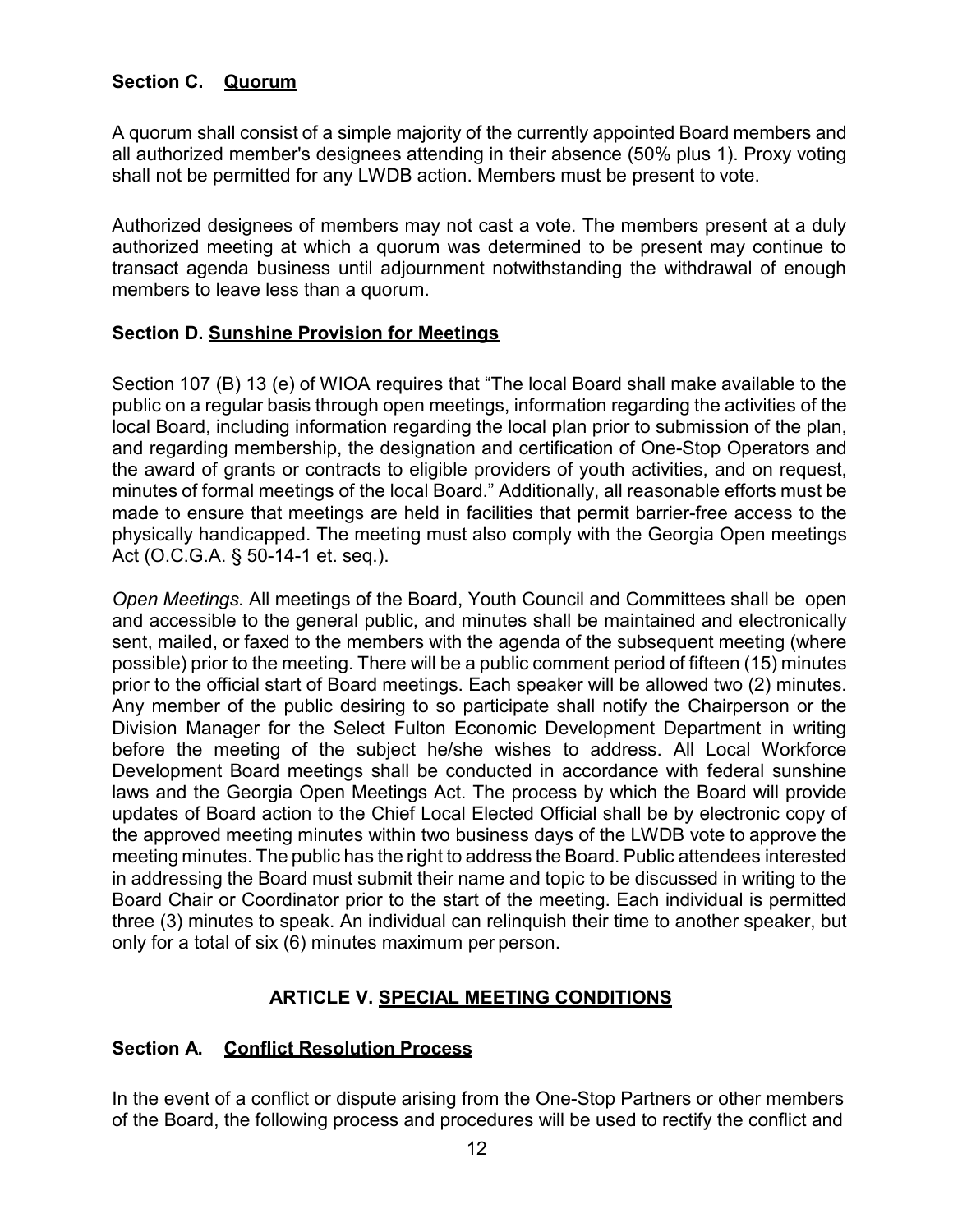## **Section C. Quorum**

A quorum shall consist of a simple majority of the currently appointed Board members and all authorized member's designees attending in their absence (50% plus 1). Proxy voting shall not be permitted for any LWDB action. Members must be present to vote.

Authorized designees of members may not cast a vote. The members present at a duly authorized meeting at which a quorum was determined to be present may continue to transact agenda business until adjournment notwithstanding the withdrawal of enough members to leave less than a quorum.

#### **Section D. Sunshine Provision for Meetings**

Section 107 (B) 13 (e) of WIOA requires that "The local Board shall make available to the public on a regular basis through open meetings, information regarding the activities of the local Board, including information regarding the local plan prior to submission of the plan, and regarding membership, the designation and certification of One-Stop Operators and the award of grants or contracts to eligible providers of youth activities, and on request, minutes of formal meetings of the local Board." Additionally, all reasonable efforts must be made to ensure that meetings are held in facilities that permit barrier-free access to the physically handicapped. The meeting must also comply with the Georgia Open meetings Act (O.C.G.A. § 50-14-1 et. seq.).

*Open Meetings.* All meetings of the Board, Youth Council and Committees shall be open and accessible to the general public, and minutes shall be maintained and electronically sent, mailed, or faxed to the members with the agenda of the subsequent meeting (where possible) prior to the meeting. There will be a public comment period of fifteen (15) minutes prior to the official start of Board meetings. Each speaker will be allowed two (2) minutes. Any member of the public desiring to so participate shall notify the Chairperson or the Division Manager for the Select Fulton Economic Development Department in writing before the meeting of the subject he/she wishes to address. All Local Workforce Development Board meetings shall be conducted in accordance with federal sunshine laws and the Georgia Open Meetings Act. The process by which the Board will provide updates of Board action to the Chief Local Elected Official shall be by electronic copy of the approved meeting minutes within two business days of the LWDB vote to approve the meeting minutes. The public has the right to address the Board. Public attendees interested in addressing the Board must submit their name and topic to be discussed in writing to the Board Chair or Coordinator prior to the start of the meeting. Each individual is permitted three (3) minutes to speak. An individual can relinquish their time to another speaker, but only for a total of six (6) minutes maximum per person.

#### **ARTICLE V. SPECIAL MEETING CONDITIONS**

#### **Section A. Conflict Resolution Process**

In the event of a conflict or dispute arising from the One-Stop Partners or other members of the Board, the following process and procedures will be used to rectify the conflict and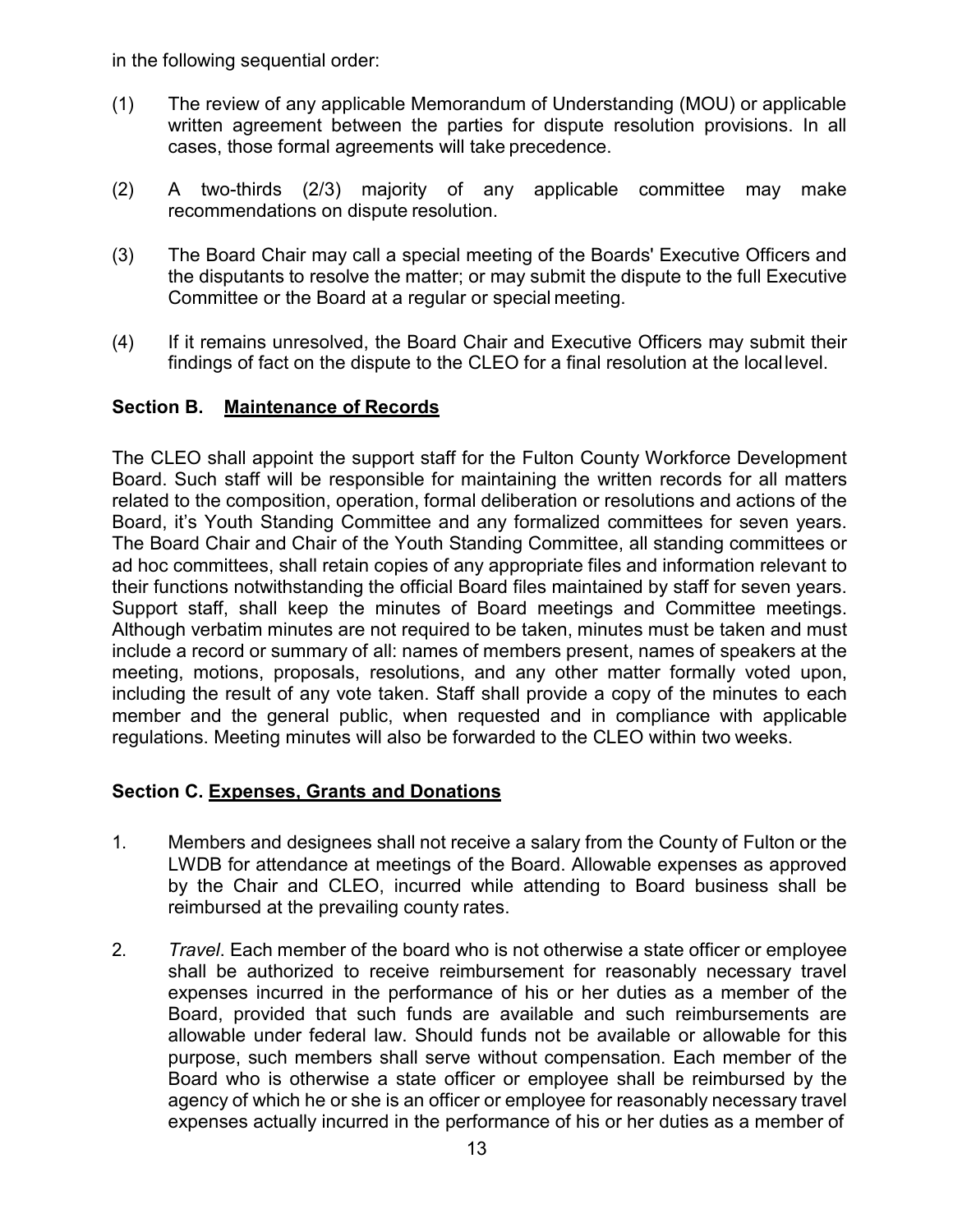in the following sequential order:

- (1) The review of any applicable Memorandum of Understanding (MOU) or applicable written agreement between the parties for dispute resolution provisions. In all cases, those formal agreements will take precedence.
- (2) A two-thirds (2/3) majority of any applicable committee may make recommendations on dispute resolution.
- (3) The Board Chair may call a special meeting of the Boards' Executive Officers and the disputants to resolve the matter; or may submit the dispute to the full Executive Committee or the Board at a regular or special meeting.
- (4) If it remains unresolved, the Board Chair and Executive Officers may submit their findings of fact on the dispute to the CLEO for a final resolution at the locallevel.

#### **Section B. Maintenance of Records**

The CLEO shall appoint the support staff for the Fulton County Workforce Development Board. Such staff will be responsible for maintaining the written records for all matters related to the composition, operation, formal deliberation or resolutions and actions of the Board, it's Youth Standing Committee and any formalized committees for seven years. The Board Chair and Chair of the Youth Standing Committee, all standing committees or ad hoc committees, shall retain copies of any appropriate files and information relevant to their functions notwithstanding the official Board files maintained by staff for seven years. Support staff, shall keep the minutes of Board meetings and Committee meetings. Although verbatim minutes are not required to be taken, minutes must be taken and must include a record or summary of all: names of members present, names of speakers at the meeting, motions, proposals, resolutions, and any other matter formally voted upon, including the result of any vote taken. Staff shall provide a copy of the minutes to each member and the general public, when requested and in compliance with applicable regulations. Meeting minutes will also be forwarded to the CLEO within two weeks.

#### **Section C. Expenses, Grants and Donations**

- 1. Members and designees shall not receive a salary from the County of Fulton or the LWDB for attendance at meetings of the Board. Allowable expenses as approved by the Chair and CLEO, incurred while attending to Board business shall be reimbursed at the prevailing county rates.
- 2. *Travel*. Each member of the board who is not otherwise a state officer or employee shall be authorized to receive reimbursement for reasonably necessary travel expenses incurred in the performance of his or her duties as a member of the Board, provided that such funds are available and such reimbursements are allowable under federal law. Should funds not be available or allowable for this purpose, such members shall serve without compensation. Each member of the Board who is otherwise a state officer or employee shall be reimbursed by the agency of which he or she is an officer or employee for reasonably necessary travel expenses actually incurred in the performance of his or her duties as a member of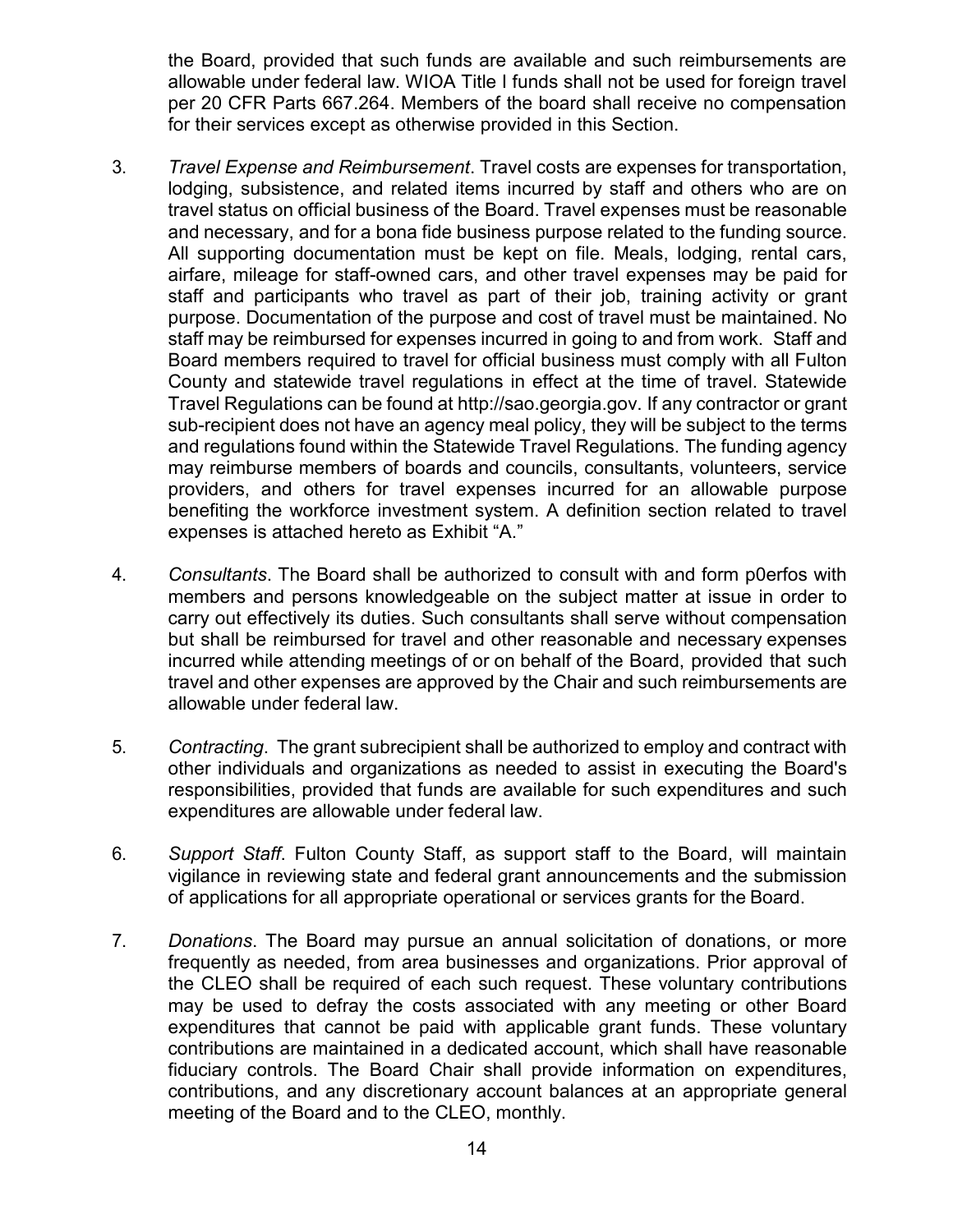the Board, provided that such funds are available and such reimbursements are allowable under federal law. WIOA Title I funds shall not be used for foreign travel per 20 CFR Parts 667.264. Members of the board shall receive no compensation for their services except as otherwise provided in this Section.

- 3. *Travel Expense and Reimbursement*. Travel costs are expenses for transportation, lodging, subsistence, and related items incurred by staff and others who are on travel status on official business of the Board. Travel expenses must be reasonable and necessary, and for a bona fide business purpose related to the funding source. All supporting documentation must be kept on file. Meals, lodging, rental cars, airfare, mileage for staff-owned cars, and other travel expenses may be paid for staff and participants who travel as part of their job, training activity or grant purpose. Documentation of the purpose and cost of travel must be maintained. No staff may be reimbursed for expenses incurred in going to and from work. Staff and Board members required to travel for official business must comply with all Fulton County and statewide travel regulations in effect at the time of travel. Statewide Travel Regulations can be found at [http://sao.georgia.gov.](http://sao.georgia.gov/) If any contractor or grant sub-recipient does not have an agency meal policy, they will be subject to the terms and regulations found within the Statewide Travel Regulations. The funding agency may reimburse members of boards and councils, consultants, volunteers, service providers, and others for travel expenses incurred for an allowable purpose benefiting the workforce investment system. A definition section related to travel expenses is attached hereto as Exhibit "A."
- 4. *Consultants*. The Board shall be authorized to consult with and form p0erfos with members and persons knowledgeable on the subject matter at issue in order to carry out effectively its duties. Such consultants shall serve without compensation but shall be reimbursed for travel and other reasonable and necessary expenses incurred while attending meetings of or on behalf of the Board, provided that such travel and other expenses are approved by the Chair and such reimbursements are allowable under federal law.
- 5. *Contracting*. The grant subrecipient shall be authorized to employ and contract with other individuals and organizations as needed to assist in executing the Board's responsibilities, provided that funds are available for such expenditures and such expenditures are allowable under federal law.
- 6. *Support Staff*. Fulton County Staff, as support staff to the Board, will maintain vigilance in reviewing state and federal grant announcements and the submission of applications for all appropriate operational or services grants for the Board.
- 7. *Donations*. The Board may pursue an annual solicitation of donations, or more frequently as needed, from area businesses and organizations. Prior approval of the CLEO shall be required of each such request. These voluntary contributions may be used to defray the costs associated with any meeting or other Board expenditures that cannot be paid with applicable grant funds. These voluntary contributions are maintained in a dedicated account, which shall have reasonable fiduciary controls. The Board Chair shall provide information on expenditures, contributions, and any discretionary account balances at an appropriate general meeting of the Board and to the CLEO, monthly.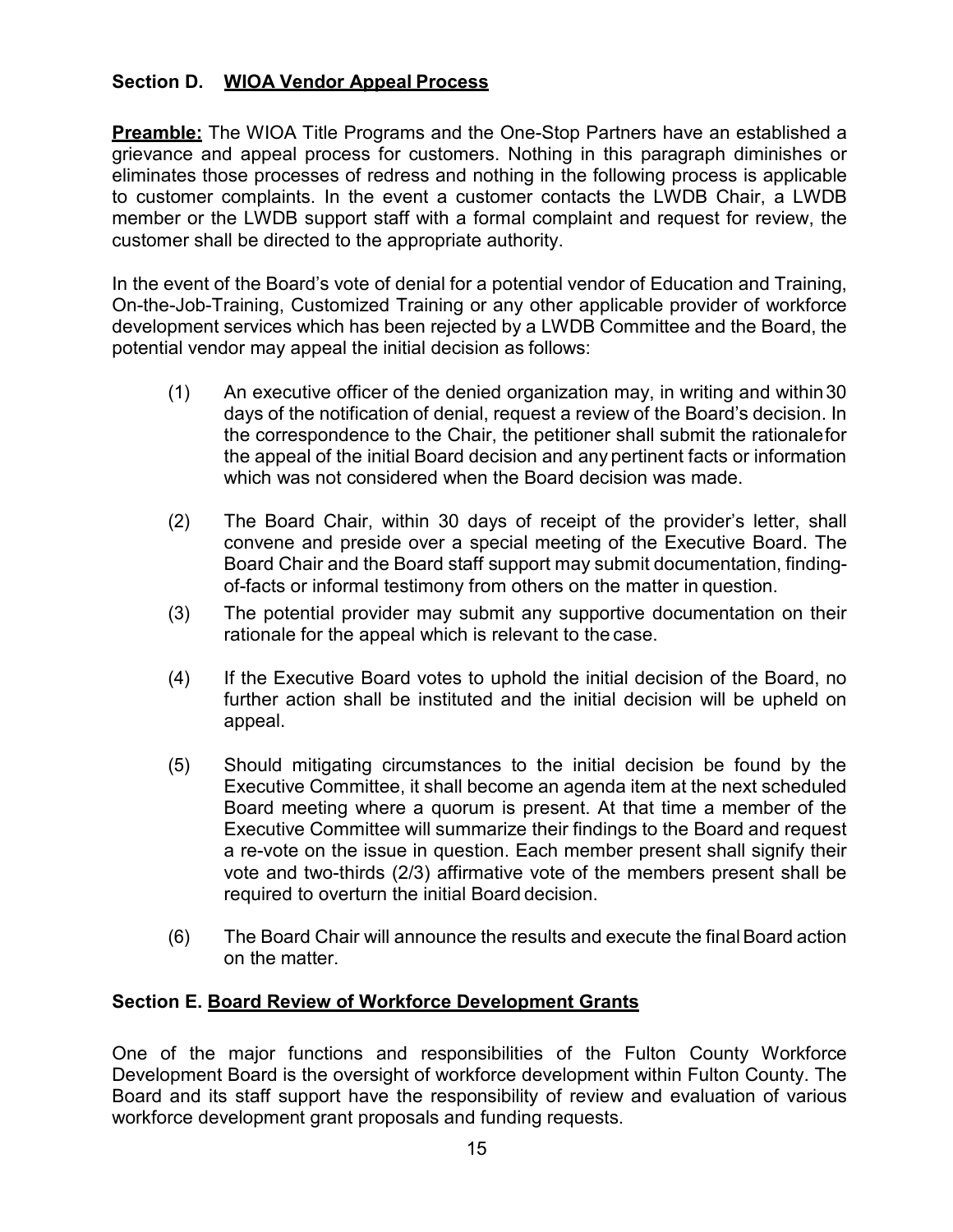## **Section D. WIOA Vendor Appeal Process**

**Preamble:** The WIOA Title Programs and the One-Stop Partners have an established a grievance and appeal process for customers. Nothing in this paragraph diminishes or eliminates those processes of redress and nothing in the following process is applicable to customer complaints. In the event a customer contacts the LWDB Chair, a LWDB member or the LWDB support staff with a formal complaint and request for review, the customer shall be directed to the appropriate authority.

In the event of the Board's vote of denial for a potential vendor of Education and Training, On-the-Job-Training, Customized Training or any other applicable provider of workforce development services which has been rejected by a LWDB Committee and the Board, the potential vendor may appeal the initial decision as follows:

- (1) An executive officer of the denied organization may, in writing and within30 days of the notification of denial, request a review of the Board's decision. In the correspondence to the Chair, the petitioner shall submit the rationalefor the appeal of the initial Board decision and any pertinent facts or information which was not considered when the Board decision was made.
- (2) The Board Chair, within 30 days of receipt of the provider's letter, shall convene and preside over a special meeting of the Executive Board. The Board Chair and the Board staff support may submit documentation, findingof-facts or informal testimony from others on the matter in question.
- (3) The potential provider may submit any supportive documentation on their rationale for the appeal which is relevant to the case.
- (4) If the Executive Board votes to uphold the initial decision of the Board, no further action shall be instituted and the initial decision will be upheld on appeal.
- (5) Should mitigating circumstances to the initial decision be found by the Executive Committee, it shall become an agenda item at the next scheduled Board meeting where a quorum is present. At that time a member of the Executive Committee will summarize their findings to the Board and request a re-vote on the issue in question. Each member present shall signify their vote and two-thirds (2/3) affirmative vote of the members present shall be required to overturn the initial Board decision.
- (6) The Board Chair will announce the results and execute the finalBoard action on the matter.

#### **Section E. Board Review of Workforce Development Grants**

One of the major functions and responsibilities of the Fulton County Workforce Development Board is the oversight of workforce development within Fulton County. The Board and its staff support have the responsibility of review and evaluation of various workforce development grant proposals and funding requests.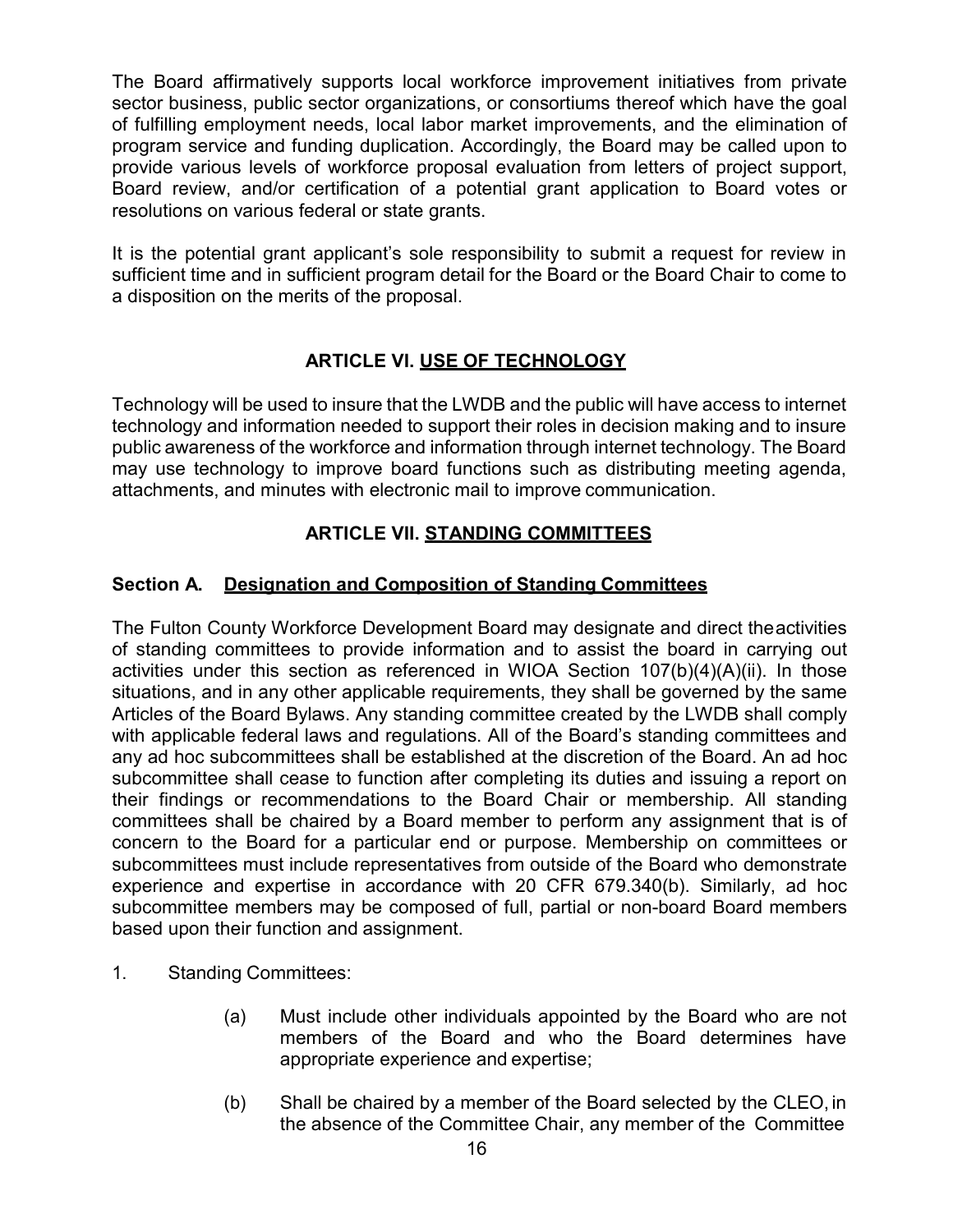The Board affirmatively supports local workforce improvement initiatives from private sector business, public sector organizations, or consortiums thereof which have the goal of fulfilling employment needs, local labor market improvements, and the elimination of program service and funding duplication. Accordingly, the Board may be called upon to provide various levels of workforce proposal evaluation from letters of project support, Board review, and/or certification of a potential grant application to Board votes or resolutions on various federal or state grants.

It is the potential grant applicant's sole responsibility to submit a request for review in sufficient time and in sufficient program detail for the Board or the Board Chair to come to a disposition on the merits of the proposal.

## **ARTICLE VI. USE OF TECHNOLOGY**

Technology will be used to insure that the LWDB and the public will have access to internet technology and information needed to support their roles in decision making and to insure public awareness of the workforce and information through internet technology. The Board may use technology to improve board functions such as distributing meeting agenda, attachments, and minutes with electronic mail to improve communication.

## **ARTICLE VII. STANDING COMMITTEES**

## **Section A. Designation and Composition of Standing Committees**

The Fulton County Workforce Development Board may designate and direct theactivities of standing committees to provide information and to assist the board in carrying out activities under this section as referenced in WIOA Section  $107(b)(4)(A)(ii)$ . In those situations, and in any other applicable requirements, they shall be governed by the same Articles of the Board Bylaws. Any standing committee created by the LWDB shall comply with applicable federal laws and regulations. All of the Board's standing committees and any ad hoc subcommittees shall be established at the discretion of the Board. An ad hoc subcommittee shall cease to function after completing its duties and issuing a report on their findings or recommendations to the Board Chair or membership. All standing committees shall be chaired by a Board member to perform any assignment that is of concern to the Board for a particular end or purpose. Membership on committees or subcommittees must include representatives from outside of the Board who demonstrate experience and expertise in accordance with 20 CFR 679.340(b). Similarly, ad hoc subcommittee members may be composed of full, partial or non-board Board members based upon their function and assignment.

- 1. Standing Committees:
	- (a) Must include other individuals appointed by the Board who are not members of the Board and who the Board determines have appropriate experience and expertise;
	- (b) Shall be chaired by a member of the Board selected by the CLEO, in the absence of the Committee Chair, any member of the Committee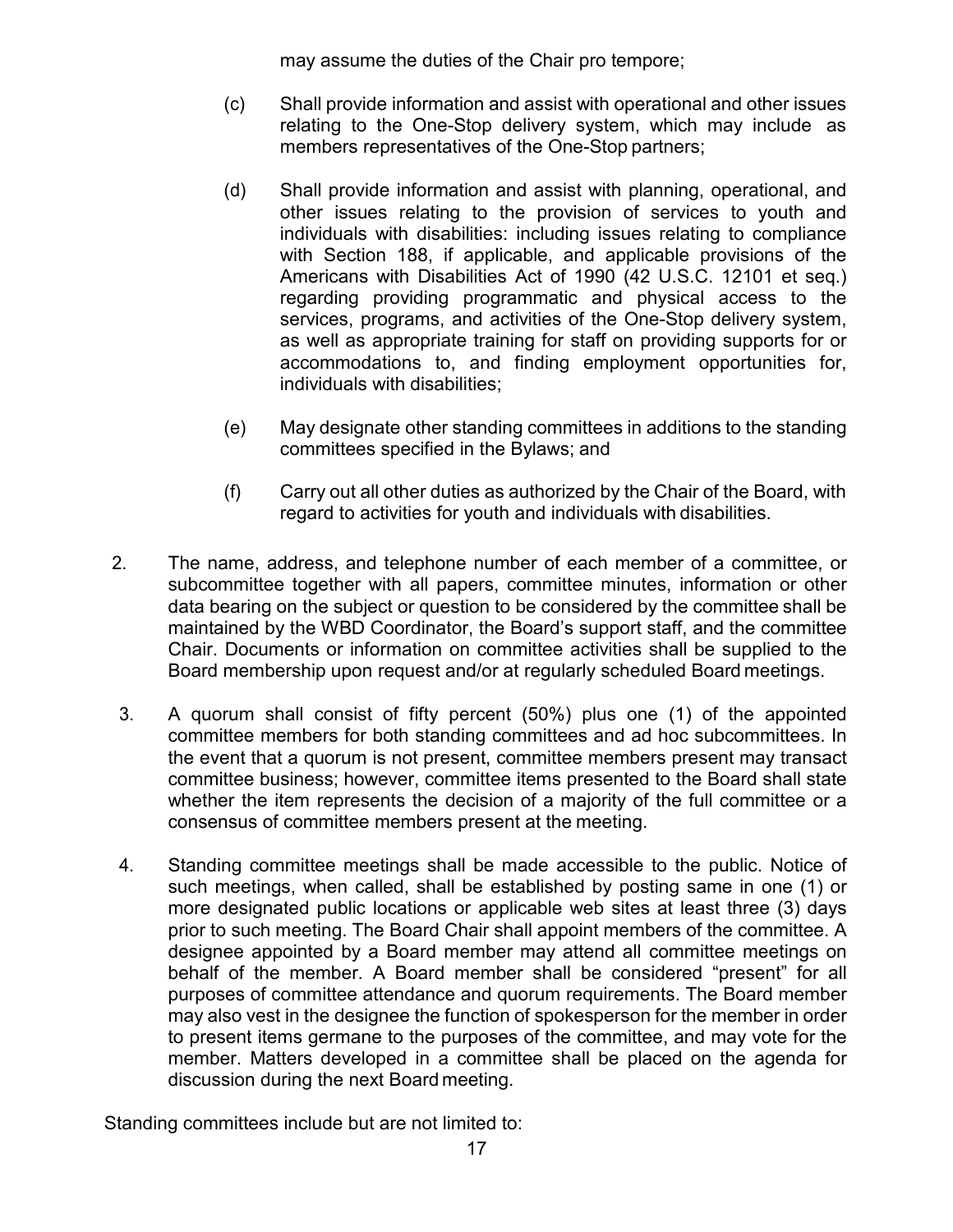may assume the duties of the Chair pro tempore;

- (c) Shall provide information and assist with operational and other issues relating to the One-Stop delivery system, which may include as members representatives of the One-Stop partners;
- (d) Shall provide information and assist with planning, operational, and other issues relating to the provision of services to youth and individuals with disabilities: including issues relating to compliance with Section 188, if applicable, and applicable provisions of the Americans with Disabilities Act of 1990 (42 U.S.C. 12101 et seq.) regarding providing programmatic and physical access to the services, programs, and activities of the One-Stop delivery system, as well as appropriate training for staff on providing supports for or accommodations to, and finding employment opportunities for, individuals with disabilities;
- (e) May designate other standing committees in additions to the standing committees specified in the Bylaws; and
- (f) Carry out all other duties as authorized by the Chair of the Board, with regard to activities for youth and individuals with disabilities.
- 2. The name, address, and telephone number of each member of a committee, or subcommittee together with all papers, committee minutes, information or other data bearing on the subject or question to be considered by the committee shall be maintained by the WBD Coordinator, the Board's support staff, and the committee Chair. Documents or information on committee activities shall be supplied to the Board membership upon request and/or at regularly scheduled Board meetings.
- 3. A quorum shall consist of fifty percent (50%) plus one (1) of the appointed committee members for both standing committees and ad hoc subcommittees. In the event that a quorum is not present, committee members present may transact committee business; however, committee items presented to the Board shall state whether the item represents the decision of a majority of the full committee or a consensus of committee members present at the meeting.
- 4. Standing committee meetings shall be made accessible to the public. Notice of such meetings, when called, shall be established by posting same in one (1) or more designated public locations or applicable web sites at least three (3) days prior to such meeting. The Board Chair shall appoint members of the committee. A designee appointed by a Board member may attend all committee meetings on behalf of the member. A Board member shall be considered "present" for all purposes of committee attendance and quorum requirements. The Board member may also vest in the designee the function of spokesperson for the member in order to present items germane to the purposes of the committee, and may vote for the member. Matters developed in a committee shall be placed on the agenda for discussion during the next Board meeting.

Standing committees include but are not limited to: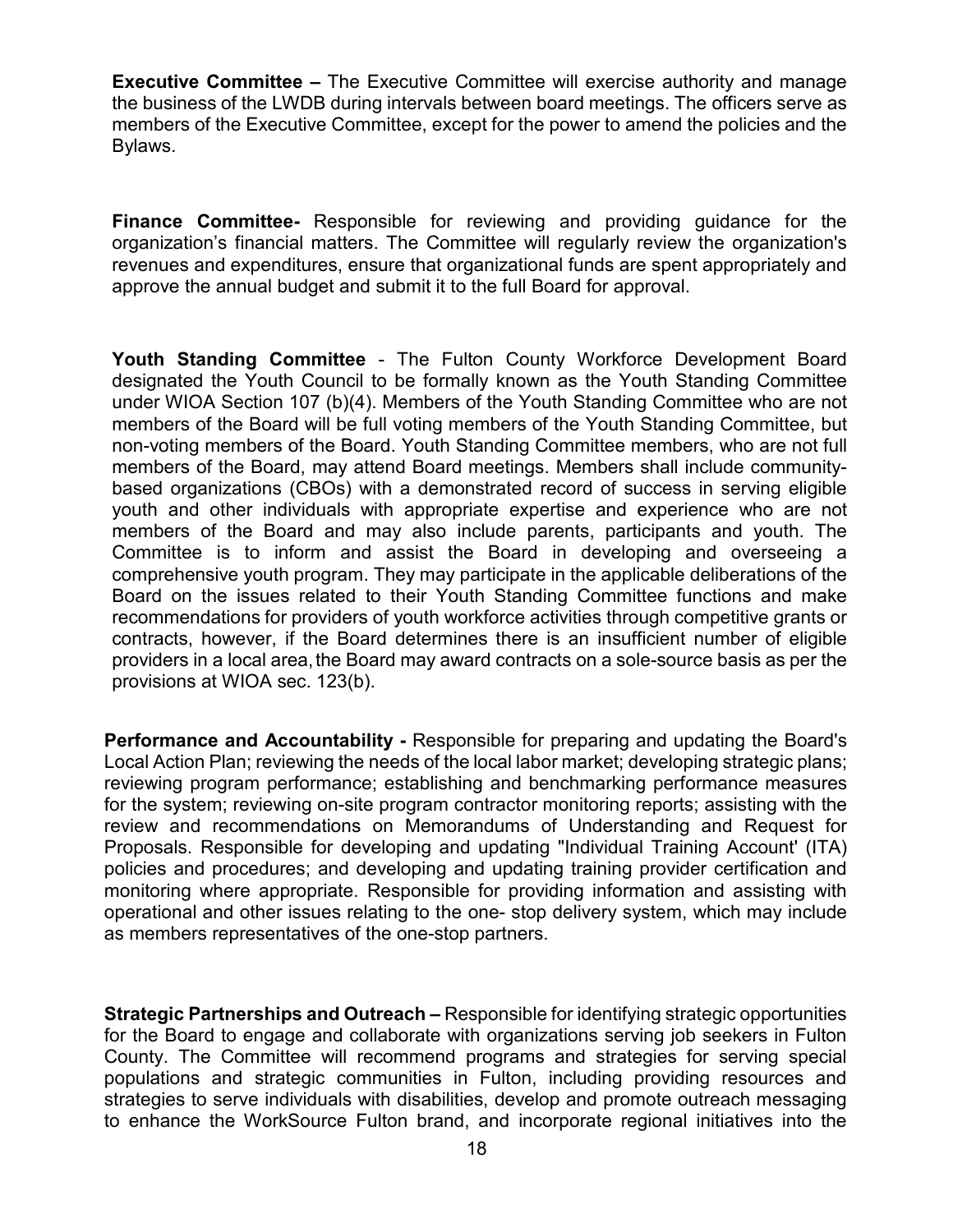**Executive Committee –** The Executive Committee will exercise authority and manage the business of the LWDB during intervals between board meetings. The officers serve as members of the Executive Committee, except for the power to amend the policies and the Bylaws.

**Finance Committee-** Responsible for reviewing and providing guidance for the organization's financial matters. The Committee will regularly review the organization's revenues and expenditures, ensure that organizational funds are spent appropriately and approve the annual budget and submit it to the full Board for approval.

**Youth Standing Committee** - The Fulton County Workforce Development Board designated the Youth Council to be formally known as the Youth Standing Committee under WIOA Section 107 (b)(4). Members of the Youth Standing Committee who are not members of the Board will be full voting members of the Youth Standing Committee, but non-voting members of the Board. Youth Standing Committee members, who are not full members of the Board, may attend Board meetings. Members shall include communitybased organizations (CBOs) with a demonstrated record of success in serving eligible youth and other individuals with appropriate expertise and experience who are not members of the Board and may also include parents, participants and youth. The Committee is to inform and assist the Board in developing and overseeing a comprehensive youth program. They may participate in the applicable deliberations of the Board on the issues related to their Youth Standing Committee functions and make recommendations for providers of youth workforce activities through competitive grants or contracts, however, if the Board determines there is an insufficient number of eligible providers in a local area, the Board may award contracts on a sole-source basis as per the provisions at WIOA sec. 123(b).

**Performance and Accountability -** Responsible for preparing and updating the Board's Local Action Plan; reviewing the needs of the local labor market; developing strategic plans; reviewing program performance; establishing and benchmarking performance measures for the system; reviewing on-site program contractor monitoring reports; assisting with the review and recommendations on Memorandums of Understanding and Request for Proposals. Responsible for developing and updating "Individual Training Account' (ITA) policies and procedures; and developing and updating training provider certification and monitoring where appropriate. Responsible for providing information and assisting with operational and other issues relating to the one- stop delivery system, which may include as members representatives of the one-stop partners.

**Strategic Partnerships and Outreach –** Responsible for identifying strategic opportunities for the Board to engage and collaborate with organizations serving job seekers in Fulton County. The Committee will recommend programs and strategies for serving special populations and strategic communities in Fulton, including providing resources and strategies to serve individuals with disabilities, develop and promote outreach messaging to enhance the WorkSource Fulton brand, and incorporate regional initiatives into the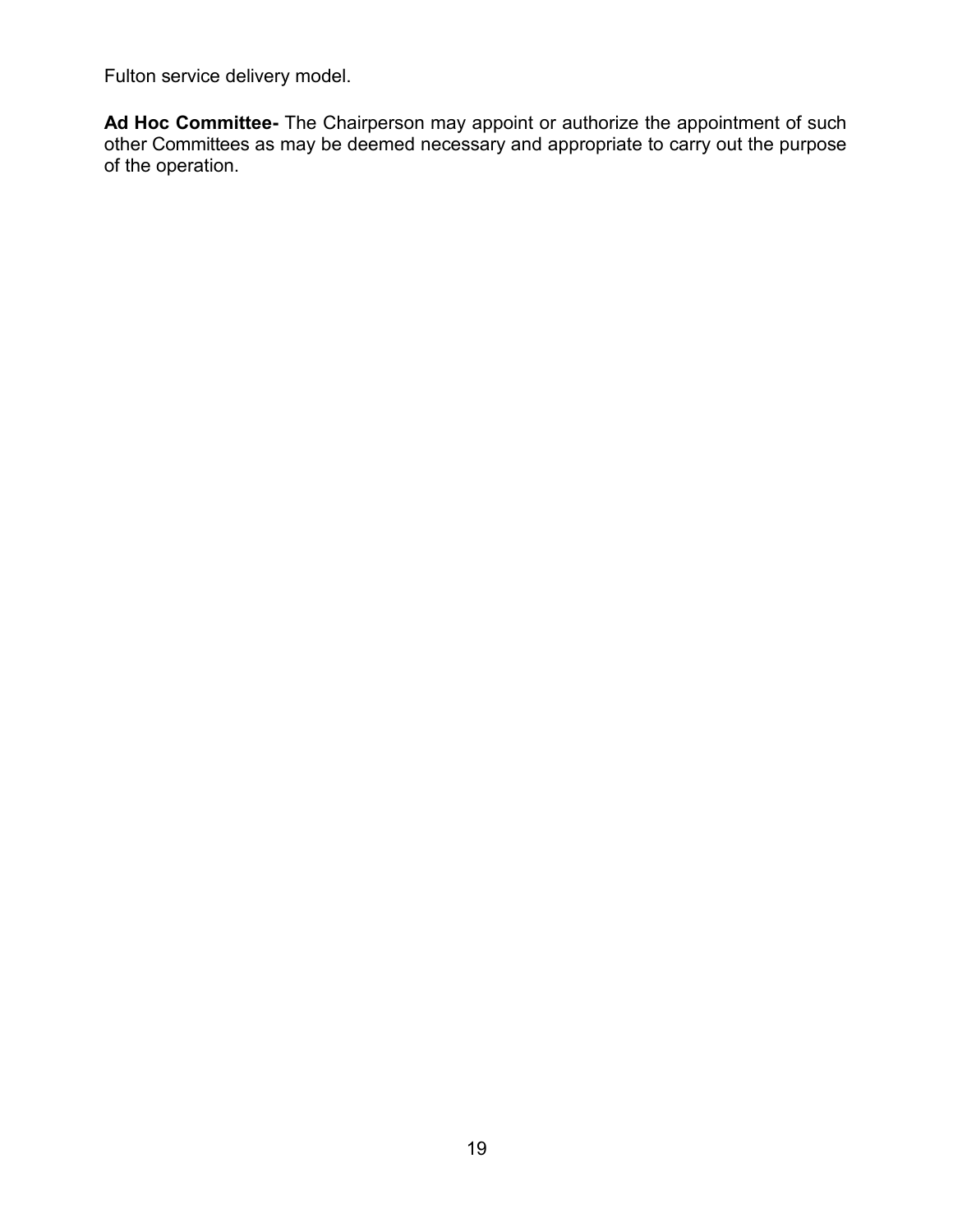Fulton service delivery model.

**Ad Hoc Committee-** The Chairperson may appoint or authorize the appointment of such other Committees as may be deemed necessary and appropriate to carry out the purpose of the operation.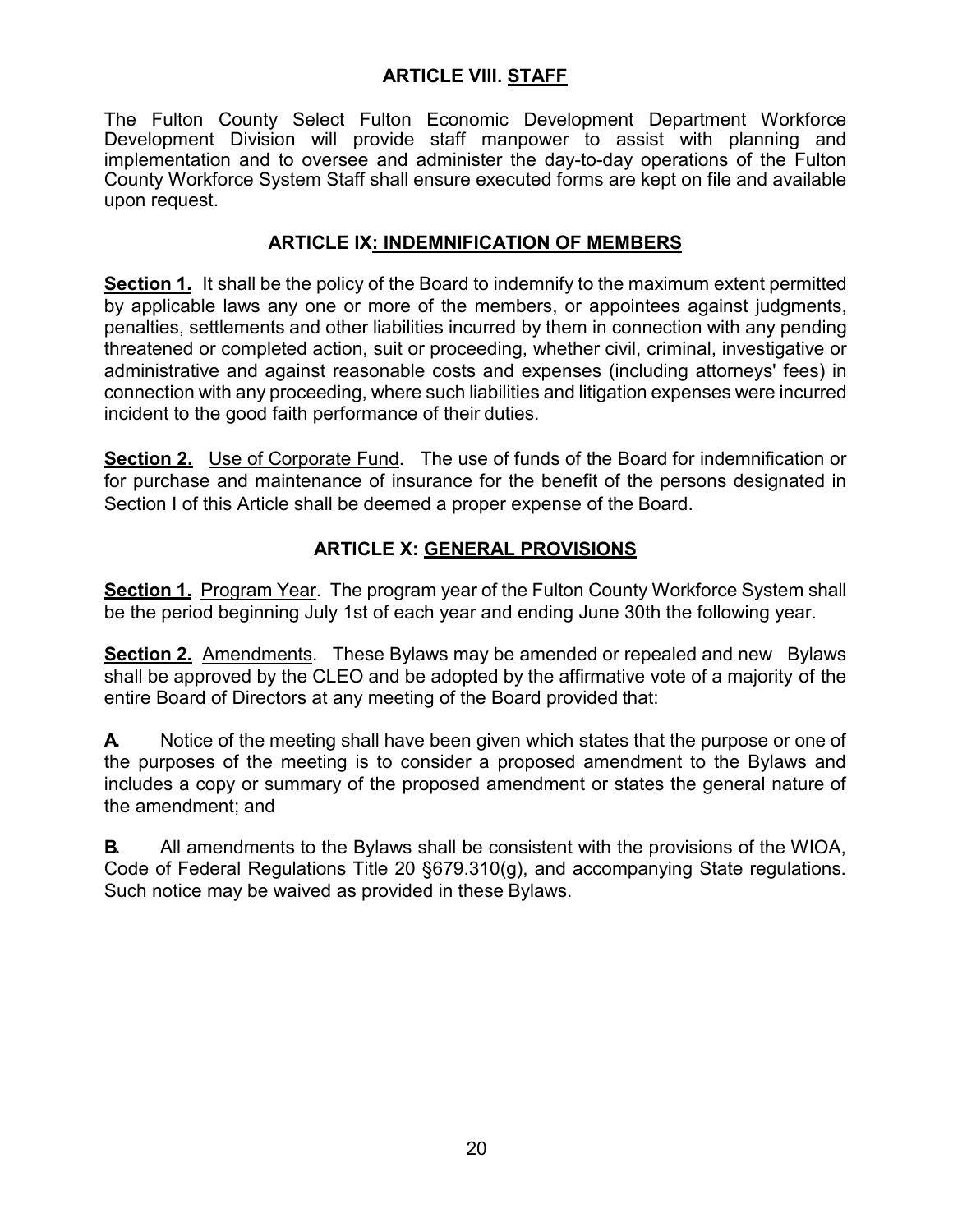## **ARTICLE VIII. STAFF**

The Fulton County Select Fulton Economic Development Department Workforce Development Division will provide staff manpower to assist with planning and implementation and to oversee and administer the day-to-day operations of the Fulton County Workforce System Staff shall ensure executed forms are kept on file and available upon request.

## **ARTICLE IX: INDEMNIFICATION OF MEMBERS**

**Section 1.** It shall be the policy of the Board to indemnify to the maximum extent permitted by applicable laws any one or more of the members, or appointees against judgments, penalties, settlements and other liabilities incurred by them in connection with any pending threatened or completed action, suit or proceeding, whether civil, criminal, investigative or administrative and against reasonable costs and expenses (including attorneys' fees) in connection with any proceeding, where such liabilities and litigation expenses were incurred incident to the good faith performance of their duties.

**Section 2.** Use of Corporate Fund. The use of funds of the Board for indemnification or for purchase and maintenance of insurance for the benefit of the persons designated in Section I of this Article shall be deemed a proper expense of the Board.

## **ARTICLE X: GENERAL PROVISIONS**

**Section 1.** Program Year. The program year of the Fulton County Workforce System shall be the period beginning July 1st of each year and ending June 30th the following year.

**Section 2.** Amendments. These Bylaws may be amended or repealed and new Bylaws shall be approved by the CLEO and be adopted by the affirmative vote of a majority of the entire Board of Directors at any meeting of the Board provided that:

**A.** Notice of the meeting shall have been given which states that the purpose or one of the purposes of the meeting is to consider a proposed amendment to the Bylaws and includes a copy or summary of the proposed amendment or states the general nature of the amendment; and

**B.** All amendments to the Bylaws shall be consistent with the provisions of the WIOA, Code of Federal Regulations Title 20 §679.310(g), and accompanying State regulations. Such notice may be waived as provided in these Bylaws.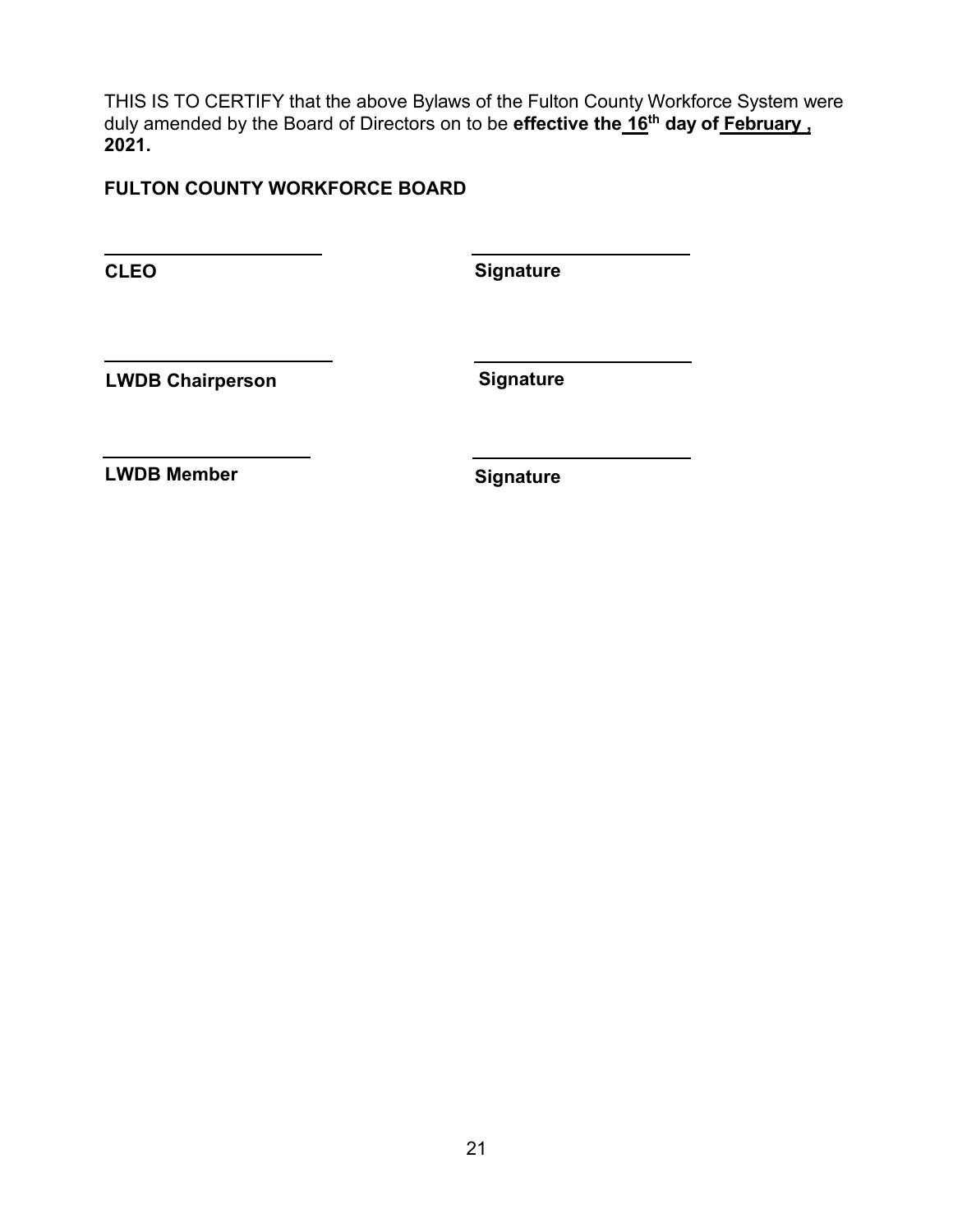THIS IS TO CERTIFY that the above Bylaws of the Fulton County Workforce System were duly amended by the Board of Directors on to be **effective the 16th day of February , 2021.** 

## **FULTON COUNTY WORKFORCE BOARD**

**CLEO**

**Signature**

**LWDB Chairperson**

**Signature**

**LWDB Member**

**Signature**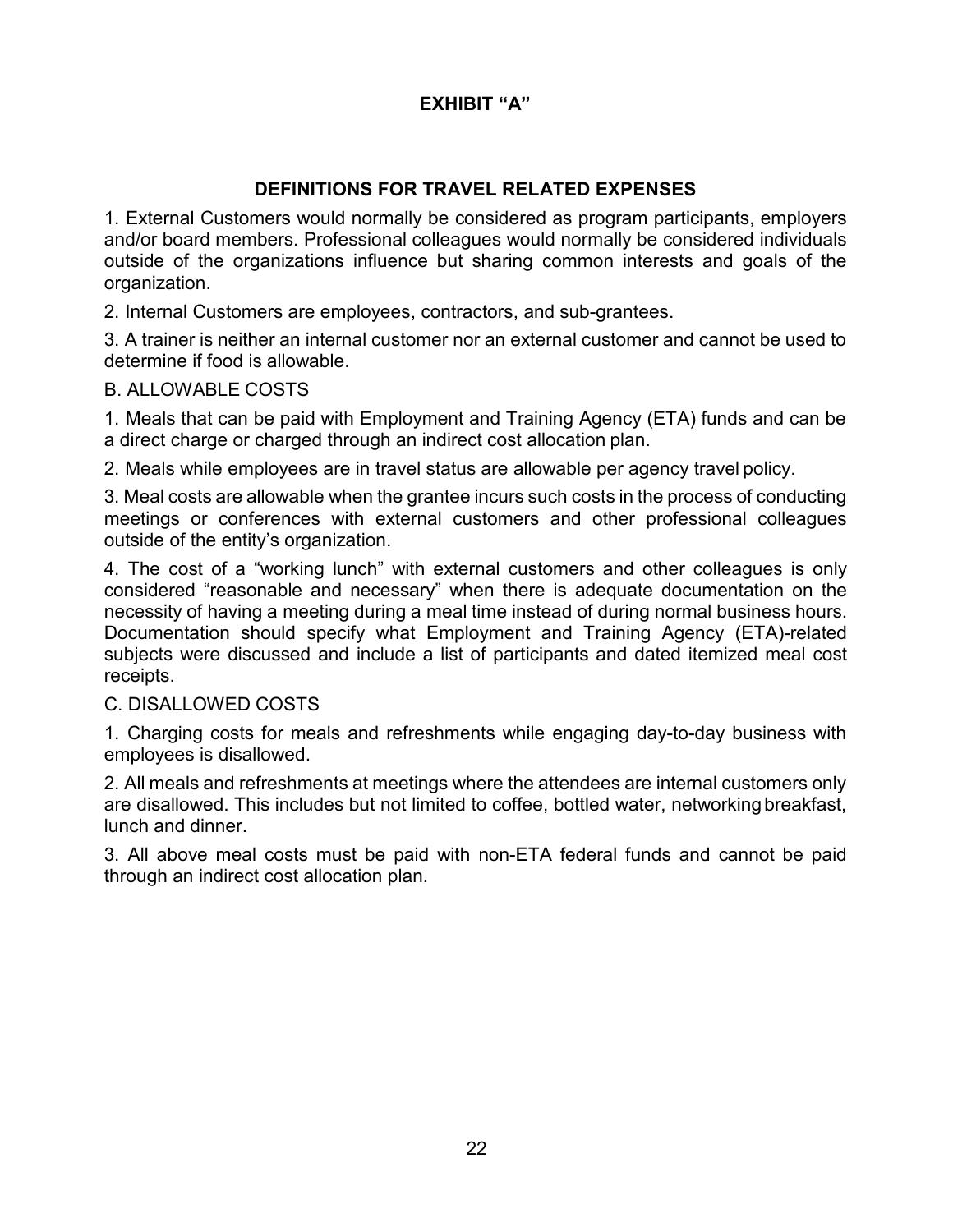## **EXHIBIT "A"**

## **DEFINITIONS FOR TRAVEL RELATED EXPENSES**

1. External Customers would normally be considered as program participants, employers and/or board members. Professional colleagues would normally be considered individuals outside of the organizations influence but sharing common interests and goals of the organization.

2. Internal Customers are employees, contractors, and sub-grantees.

3. A trainer is neither an internal customer nor an external customer and cannot be used to determine if food is allowable.

#### B. ALLOWABLE COSTS

1. Meals that can be paid with Employment and Training Agency (ETA) funds and can be a direct charge or charged through an indirect cost allocation plan.

2. Meals while employees are in travel status are allowable per agency travel policy.

3. Meal costs are allowable when the grantee incurs such costs in the process of conducting meetings or conferences with external customers and other professional colleagues outside of the entity's organization.

4. The cost of a "working lunch" with external customers and other colleagues is only considered "reasonable and necessary" when there is adequate documentation on the necessity of having a meeting during a meal time instead of during normal business hours. Documentation should specify what Employment and Training Agency (ETA)-related subjects were discussed and include a list of participants and dated itemized meal cost receipts.

#### C. DISALLOWED COSTS

1. Charging costs for meals and refreshments while engaging day-to-day business with employees is disallowed.

2. All meals and refreshments at meetings where the attendees are internal customers only are disallowed. This includes but not limited to coffee, bottled water, networking breakfast, lunch and dinner.

3. All above meal costs must be paid with non-ETA federal funds and cannot be paid through an indirect cost allocation plan.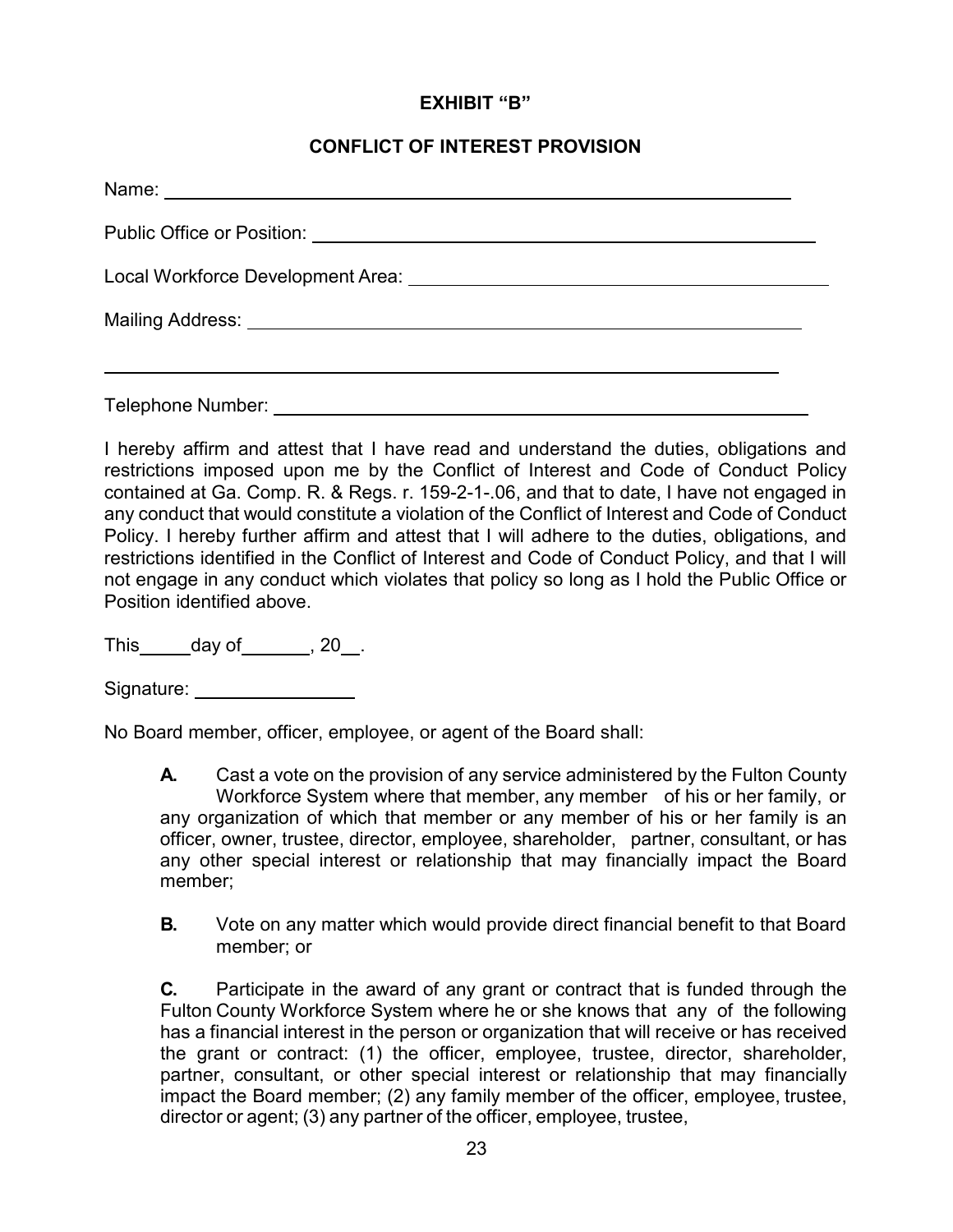#### **EXHIBIT "B"**

#### **CONFLICT OF INTEREST PROVISION**

I hereby affirm and attest that I have read and understand the duties, obligations and restrictions imposed upon me by the Conflict of Interest and Code of Conduct Policy contained at Ga. Comp. R. & Regs. r. 159-2-1-.06, and that to date, I have not engaged in any conduct that would constitute a violation of the Conflict of Interest and Code of Conduct Policy. I hereby further affirm and attest that I will adhere to the duties, obligations, and restrictions identified in the Conflict of Interest and Code of Conduct Policy, and that I will not engage in any conduct which violates that policy so long as I hold the Public Office or Position identified above.

This  $\_\_\_$  day of  $\_\_\_$ , 20 $\_\_\_$ .

Signature: Signature: Signature: Signature: Signature: Signature: Signature: Signature: Signature: Signature: Signature: Signature: Signature: Signature: Signature: Signature: Signature: Signature: Signature: Signature: Si

No Board member, officer, employee, or agent of the Board shall:

**A.** Cast a vote on the provision of any service administered by the Fulton County Workforce System where that member, any member of his or her family, or any organization of which that member or any member of his or her family is an officer, owner, trustee, director, employee, shareholder, partner, consultant, or has any other special interest or relationship that may financially impact the Board member;

**B.** Vote on any matter which would provide direct financial benefit to that Board member; or

**C.** Participate in the award of any grant or contract that is funded through the Fulton County Workforce System where he or she knows that any of the following has a financial interest in the person or organization that will receive or has received the grant or contract: (1) the officer, employee, trustee, director, shareholder, partner, consultant, or other special interest or relationship that may financially impact the Board member; (2) any family member of the officer, employee, trustee, director or agent; (3) any partner of the officer, employee, trustee,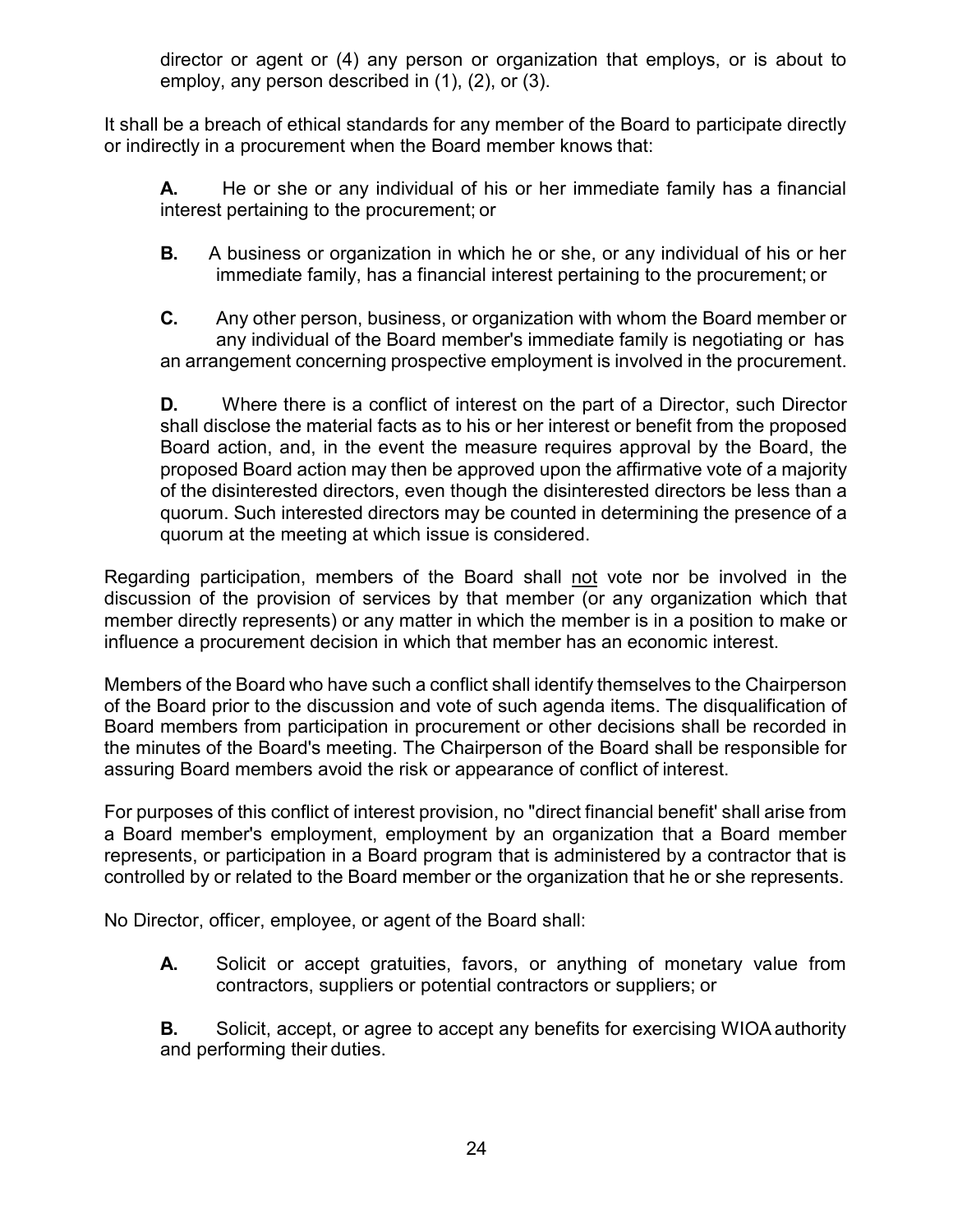director or agent or (4) any person or organization that employs, or is about to employ, any person described in (1), (2), or (3).

It shall be a breach of ethical standards for any member of the Board to participate directly or indirectly in a procurement when the Board member knows that:

**A.** He or she or any individual of his or her immediate family has a financial interest pertaining to the procurement; or

**B.** A business or organization in which he or she, or any individual of his or her immediate family, has a financial interest pertaining to the procurement; or

**C.** Any other person, business, or organization with whom the Board member or any individual of the Board member's immediate family is negotiating or has an arrangement concerning prospective employment is involved in the procurement.

**D.** Where there is a conflict of interest on the part of a Director, such Director shall disclose the material facts as to his or her interest or benefit from the proposed Board action, and, in the event the measure requires approval by the Board, the proposed Board action may then be approved upon the affirmative vote of a majority of the disinterested directors, even though the disinterested directors be less than a quorum. Such interested directors may be counted in determining the presence of a quorum at the meeting at which issue is considered.

Regarding participation, members of the Board shall not vote nor be involved in the discussion of the provision of services by that member (or any organization which that member directly represents) or any matter in which the member is in a position to make or influence a procurement decision in which that member has an economic interest.

Members of the Board who have such a conflict shall identify themselves to the Chairperson of the Board prior to the discussion and vote of such agenda items. The disqualification of Board members from participation in procurement or other decisions shall be recorded in the minutes of the Board's meeting. The Chairperson of the Board shall be responsible for assuring Board members avoid the risk or appearance of conflict of interest.

For purposes of this conflict of interest provision, no "direct financial benefit' shall arise from a Board member's employment, employment by an organization that a Board member represents, or participation in a Board program that is administered by a contractor that is controlled by or related to the Board member or the organization that he or she represents.

No Director, officer, employee, or agent of the Board shall:

**A.** Solicit or accept gratuities, favors, or anything of monetary value from contractors, suppliers or potential contractors or suppliers; or

**B.** Solicit, accept, or agree to accept any benefits for exercising WIOA authority and performing their duties.